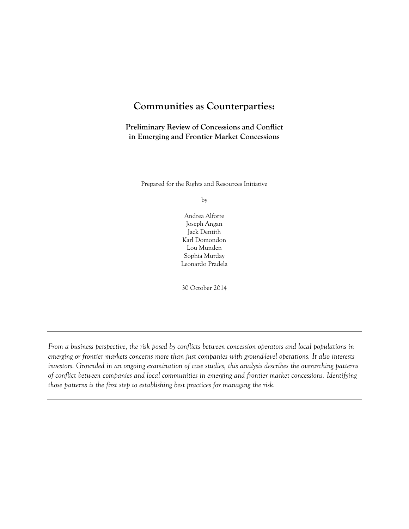## **Communities as Counterparties:**

**Preliminary Review of Concessions and Conflict in Emerging and Frontier Market Concessions**

Prepared for the Rights and Resources Initiative

by

Andrea Alforte Joseph Angan Jack Dentith Karl Domondon Lou Munden Sophia Murday Leonardo Pradela

30 October 2014

*From a business perspective, the risk posed by conflicts between concession operators and local populations in emerging or frontier markets concerns more than just companies with ground-level operations. It also interests investors. Grounded in an ongoing examination of case studies, this analysis describes the overarching patterns of conflict between companies and local communities in emerging and frontier market concessions. Identifying those patterns is the first step to establishing best practices for managing the risk.*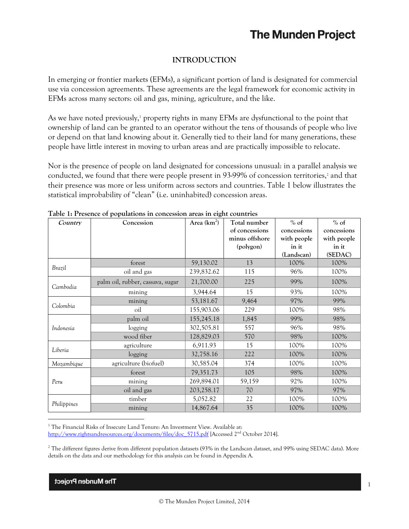## **INTRODUCTION**

In emerging or frontier markets (EFMs), a significant portion of land is designated for commercial use via concession agreements. These agreements are the legal framework for economic activity in EFMs across many sectors: oil and gas, mining, agriculture, and the like.

As we have noted previously, <sup>1</sup> property rights in many EFMs are dysfunctional to the point that ownership of land can be granted to an operator without the tens of thousands of people who live or depend on that land knowing about it. Generally tied to their land for many generations, these people have little interest in moving to urban areas and are practically impossible to relocate.

Nor is the presence of people on land designated for concessions unusual: in a parallel analysis we conducted, we found that there were people present in 93-99% of concession territories, <sup>2</sup> and that their presence was more or less uniform across sectors and countries. Table 1 below illustrates the statistical improbability of "clean" (i.e. uninhabited) concession areas.

| Country     | Concession                       | Area $(km^2)$ | Total number<br>of concessions<br>minus offshore<br>(polygon) | $%$ of<br>concessions<br>with people<br>in it<br>(Landscan) | $%$ of<br>concessions<br>with people<br>in it<br>(SEDAC) |
|-------------|----------------------------------|---------------|---------------------------------------------------------------|-------------------------------------------------------------|----------------------------------------------------------|
|             | forest                           | 59,130.02     | 13                                                            | 100%                                                        | 100%                                                     |
| Brazil      | oil and gas                      | 239,832.62    | 115                                                           | 96%                                                         | 100%                                                     |
| Cambodia    | palm oil, rubber, cassava, sugar | 21,700.00     | 225                                                           | 99%                                                         | 100%                                                     |
|             | mining                           | 3,944.64      | 15                                                            | 93%                                                         | 100%                                                     |
|             | mining                           | 53,181.67     | 9,464                                                         | 97%                                                         | 99%                                                      |
| Colombia    | oil                              | 155,903.06    | 229                                                           | 100%                                                        | 98%                                                      |
|             | palm oil                         | 155,245.18    | 1,845                                                         | 99%                                                         | 98%                                                      |
| Indonesia   | logging                          | 302,505.81    | 557                                                           | 96%                                                         | 98%                                                      |
|             | wood fiber                       | 128,829.03    | 570                                                           | 98%                                                         | 100%                                                     |
|             | agriculture                      | 6,911.93      | 15                                                            | 100%                                                        | 100%                                                     |
| Liberia     | logging                          | 32,758.16     | 222                                                           | 100%                                                        | 100%                                                     |
| Mozambique  | agriculture (biofuel)            | 30,585.04     | 374                                                           | 100%                                                        | 100%                                                     |
| Peru        | forest                           | 79,351.73     | 105                                                           | 98%                                                         | 100%                                                     |
|             | mining                           | 269,894.01    | 59,159                                                        | 92%                                                         | 100%                                                     |
|             | oil and gas                      | 203,258.17    | 70                                                            | 97%                                                         | 97%                                                      |
|             | timber                           | 5,052.82      | 22                                                            | 100%                                                        | 100%                                                     |
| Philippines | mining                           | 14,867.64     | 35                                                            | 100%                                                        | 100%                                                     |

**Table 1: Presence of populations in concession areas in eight countries**

<sup>1</sup> The Financial Risks of Insecure Land Tenure: An Investment View. Available at: http://www<u>.rightsandresources.org/documents/files/doc\_5715.pdf</u> [Accessed 2<sup>nd</sup> October 2014].

 $2$  The different figures derive from different population datasets (93% in the Landscan dataset, and 99% using SEDAC data). More details on the data and our methodology for this analysis can be found in Appendix A.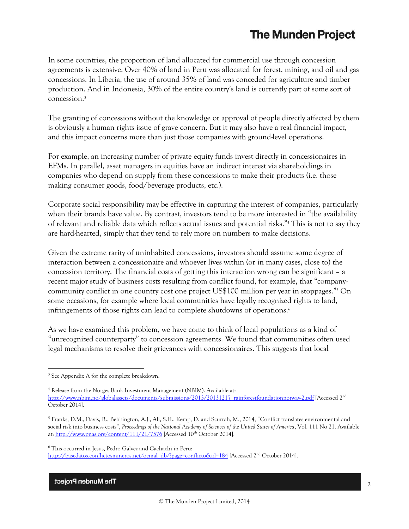In some countries, the proportion of land allocated for commercial use through concession agreements is extensive. Over 40% of land in Peru was allocated for forest, mining, and oil and gas concessions. In Liberia, the use of around 35% of land was conceded for agriculture and timber production. And in Indonesia, 30% of the entire country's land is currently part of some sort of concession.<sup>3</sup>

The granting of concessions without the knowledge or approval of people directly affected by them is obviously a human rights issue of grave concern. But it may also have a real financial impact, and this impact concerns more than just those companies with ground-level operations.

For example, an increasing number of private equity funds invest directly in concessionaires in EFMs. In parallel, asset managers in equities have an indirect interest via shareholdings in companies who depend on supply from these concessions to make their products (i.e. those making consumer goods, food/beverage products, etc.).

Corporate social responsibility may be effective in capturing the interest of companies, particularly when their brands have value. By contrast, investors tend to be more interested in "the availability of relevant and reliable data which reflects actual issues and potential risks." <sup>4</sup> This is not to say they are hard-hearted, simply that they tend to rely more on numbers to make decisions.

Given the extreme rarity of uninhabited concessions, investors should assume some degree of interaction between a concessionaire and whoever lives within (or in many cases, close to) the concession territory. The financial costs of getting this interaction wrong can be significant – a recent major study of business costs resulting from conflict found, for example, that "companycommunity conflict in one country cost one project US\$100 million per year in stoppages." <sup>5</sup> On some occasions, for example where local communities have legally recognized rights to land, infringements of those rights can lead to complete shutdowns of operations. 6

As we have examined this problem, we have come to think of local populations as a kind of "unrecognized counterparty" to concession agreements. We found that communities often used legal mechanisms to resolve their grievances with concessionaires. This suggests that local

<sup>&</sup>lt;sup>3</sup> See Appendix A for the complete breakdown.

<sup>4</sup> Release from the Norges Bank Investment Management (NBIM). Available at: [http://www.nbim.no/globalassets/documents/submissions/2013/20131217\\_rainforestfoundationnorway-2.pdf](http://www.nbim.no/globalassets/documents/submissions/2013/20131217_rainforestfoundationnorway-2.pdf) [Accessed 2nd October 2014].

<sup>&</sup>lt;sup>5</sup> Franks, D.M., Davis, R., Bebbington, A.J., Ali, S.H., Kemp, D. and Scurrah, M., 2014, "Conflict translates environmental and social risk into business costs", *Proceedings of the National Academy of Sciences of the United States of America*, Vol. 111 No 21. Available at:<http://www.pnas.org/content/111/21/7576> [Accessed 10<sup>th</sup> October 2014].

<sup>6</sup> This occurred in Jesus, Pedro Galvez and Cachachi in Peru: [http://basedatos.conflictosmineros.net/ocmal\\_db/?page=conflicto&id=184](http://basedatos.conflictosmineros.net/ocmal_db/?page=conflicto&id=184) [Accessed 2<sup>nd</sup> October 2014].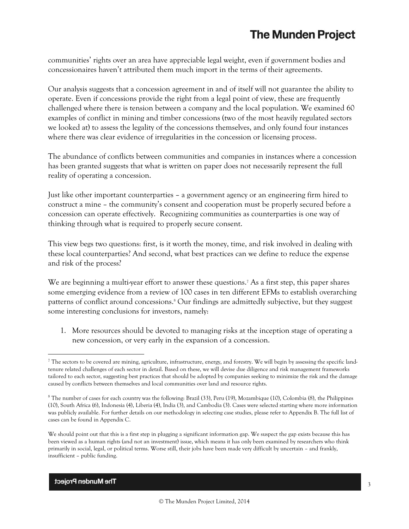communities' rights over an area have appreciable legal weight, even if government bodies and concessionaires haven't attributed them much import in the terms of their agreements.

Our analysis suggests that a concession agreement in and of itself will not guarantee the ability to operate. Even if concessions provide the right from a legal point of view, these are frequently challenged where there is tension between a company and the local population. We examined 60 examples of conflict in mining and timber concessions (two of the most heavily regulated sectors we looked at) to assess the legality of the concessions themselves, and only found four instances where there was clear evidence of irregularities in the concession or licensing process.

The abundance of conflicts between communities and companies in instances where a concession has been granted suggests that what is written on paper does not necessarily represent the full reality of operating a concession.

Just like other important counterparties – a government agency or an engineering firm hired to construct a mine – the community's consent and cooperation must be properly secured before a concession can operate effectively. Recognizing communities as counterparties is one way of thinking through what is required to properly secure consent.

This view begs two questions: first, is it worth the money, time, and risk involved in dealing with these local counterparties? And second, what best practices can we define to reduce the expense and risk of the process?

We are beginning a multi-year effort to answer these questions.<sup>7</sup> As a first step, this paper shares some emerging evidence from a review of 100 cases in ten different EFMs to establish overarching patterns of conflict around concessions.<sup>8</sup> Our findings are admittedly subjective, but they suggest some interesting conclusions for investors, namely:

1. More resources should be devoted to managing risks at the inception stage of operating a new concession, or very early in the expansion of a concession.

 $\overline{a}$  $^7$  The sectors to be covered are mining, agriculture, infrastructure, energy, and forestry. We will begin by assessing the specific landtenure related challenges of each sector in detail. Based on these, we will devise due diligence and risk management frameworks tailored to each sector, suggesting best practices that should be adopted by companies seeking to minimize the risk and the damage caused by conflicts between themselves and local communities over land and resource rights.

 $8$  The number of cases for each country was the following: Brazil (33), Peru (19), Mozambique (10), Colombia (8), the Philippines (10), South Africa (6), Indonesia (4), Liberia (4), India (3), and Cambodia (3). Cases were selected starting where more information was publicly available. For further details on our methodology in selecting case studies, please refer to Appendix B. The full list of cases can be found in Appendix C.

We should point out that this is a first step in plugging a significant information gap. We suspect the gap exists because this has been viewed as a human rights (and not an investment) issue, which means it has only been examined by researchers who think primarily in social, legal, or political terms. Worse still, their jobs have been made very difficult by uncertain – and frankly, insufficient – public funding.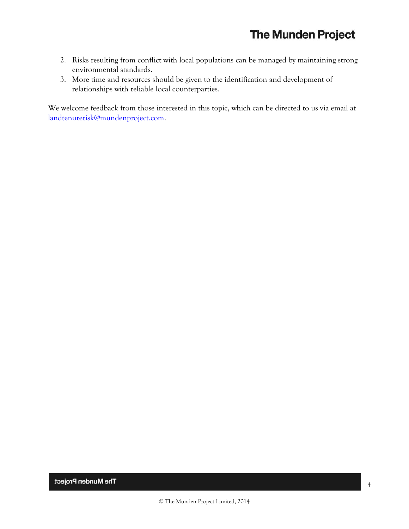- 2. Risks resulting from conflict with local populations can be managed by maintaining strong environmental standards.
- 3. More time and resources should be given to the identification and development of relationships with reliable local counterparties.

We welcome feedback from those interested in this topic, which can be directed to us via email at [landtenurerisk@mundenproject.com.](mailto:landtenurerisk@mundenproject.com)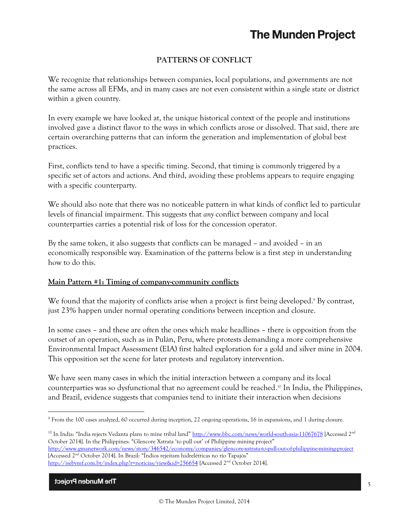## **PATTERNS OF CONFLICT**

We recognize that relationships between companies, local populations, and governments are not the same across all EFMs, and in many cases are not even consistent within a single state or district within a given country.

In every example we have looked at, the unique historical context of the people and institutions involved gave a distinct flavor to the ways in which conflicts arose or dissolved. That said, there are certain overarching patterns that can inform the generation and implementation of global best practices.

First, conflicts tend to have a specific timing. Second, that timing is commonly triggered by a specific set of actors and actions. And third, avoiding these problems appears to require engaging with a specific counterparty.

We should also note that there was no noticeable pattern in what kinds of conflict led to particular levels of financial impairment. This suggests that *any* conflict between company and local counterparties carries a potential risk of loss for the concession operator.

By the same token, it also suggests that conflicts can be managed – and avoided – in an economically responsible way. Examination of the patterns below is a first step in understanding how to do this.

## **Main Pattern #1: Timing of company-community conflicts**

We found that the majority of conflicts arise when a project is first being developed. <sup>9</sup> By contrast, just 23% happen under normal operating conditions between inception and closure.

In some cases – and these are often the ones which make headlines – there is opposition from the outset of an operation, such as in Pulán, Peru, where protests demanding a more comprehensive Environmental Impact Assessment (EIA) first halted exploration for a gold and silver mine in 2004. This opposition set the scene for later protests and regulatory intervention.

We have seen many cases in which the initial interaction between a company and its local counterparties was so dysfunctional that no agreement could be reached. <sup>10</sup> In India, the Philippines, and Brazil, evidence suggests that companies tend to initiate their interaction when decisions

<sup>10</sup> In India: "India rejects Vedanta plans to mine tribal land" <http://www.bbc.com/news/world-south-asia-11067678> [Accessed 2<sup>nd</sup> October 2014]. In the Philippines: "Glencore Xstrata 'to pull out' of Philippine mining project" <http://www.gmanetwork.com/news/story/346542/economy/companies/glencore-xstrata-to-pull-out-of-philippine-mining-project> [Accessed 2nd October 2014]. In Brazil: "Índios rejeitam hidrelétricas no rio Tapajós" <http://isebvmf.com.br/index.php?r=noticias/view&id=256654> [Accessed 2nd October 2014].

<sup>&</sup>lt;sup>9</sup> From the 100 cases analyzed, 60 occurred during inception, 22 ongoing operations, 16 in expansions, and 1 during closure.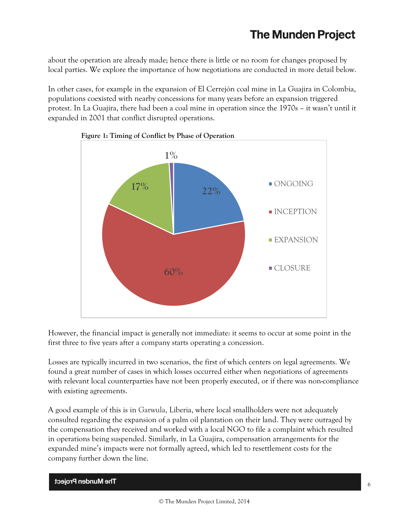about the operation are already made; hence there is little or no room for changes proposed by local parties. We explore the importance of how negotiations are conducted in more detail below.

In other cases, for example in the expansion of El Cerrejón coal mine in La Guajira in Colombia, populations coexisted with nearby concessions for many years before an expansion triggered protest. In La Guajira, there had been a coal mine in operation since the 1970s – it wasn't until it expanded in 2001 that conflict disrupted operations.





However, the financial impact is generally not immediate: it seems to occur at some point in the first three to five years after a company starts operating a concession.

Losses are typically incurred in two scenarios, the first of which centers on legal agreements. We found a great number of cases in which losses occurred either when negotiations of agreements with relevant local counterparties have not been properly executed, or if there was non-compliance with existing agreements.

A good example of this is in Garwula, Liberia, where local smallholders were not adequately consulted regarding the expansion of a palm oil plantation on their land. They were outraged by the compensation they received and worked with a local NGO to file a complaint which resulted in operations being suspended. Similarly, in La Guajira, compensation arrangements for the expanded mine's impacts were not formally agreed, which led to resettlement costs for the company further down the line.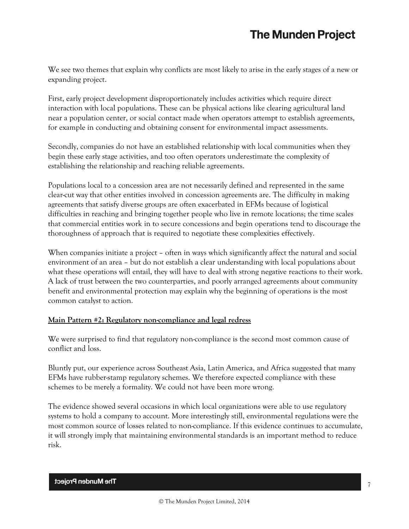We see two themes that explain why conflicts are most likely to arise in the early stages of a new or expanding project.

First, early project development disproportionately includes activities which require direct interaction with local populations. These can be physical actions like clearing agricultural land near a population center, or social contact made when operators attempt to establish agreements, for example in conducting and obtaining consent for environmental impact assessments.

Secondly, companies do not have an established relationship with local communities when they begin these early stage activities, and too often operators underestimate the complexity of establishing the relationship and reaching reliable agreements.

Populations local to a concession area are not necessarily defined and represented in the same clear-cut way that other entities involved in concession agreements are. The difficulty in making agreements that satisfy diverse groups are often exacerbated in EFMs because of logistical difficulties in reaching and bringing together people who live in remote locations; the time scales that commercial entities work in to secure concessions and begin operations tend to discourage the thoroughness of approach that is required to negotiate these complexities effectively.

When companies initiate a project – often in ways which significantly affect the natural and social environment of an area – but do not establish a clear understanding with local populations about what these operations will entail, they will have to deal with strong negative reactions to their work. A lack of trust between the two counterparties, and poorly arranged agreements about community benefit and environmental protection may explain why the beginning of operations is the most common catalyst to action.

## **Main Pattern #2: Regulatory non-compliance and legal redress**

We were surprised to find that regulatory non-compliance is the second most common cause of conflict and loss.

Bluntly put, our experience across Southeast Asia, Latin America, and Africa suggested that many EFMs have rubber-stamp regulatory schemes. We therefore expected compliance with these schemes to be merely a formality. We could not have been more wrong.

The evidence showed several occasions in which local organizations were able to use regulatory systems to hold a company to account. More interestingly still, environmental regulations were the most common source of losses related to non-compliance. If this evidence continues to accumulate, it will strongly imply that maintaining environmental standards is an important method to reduce risk.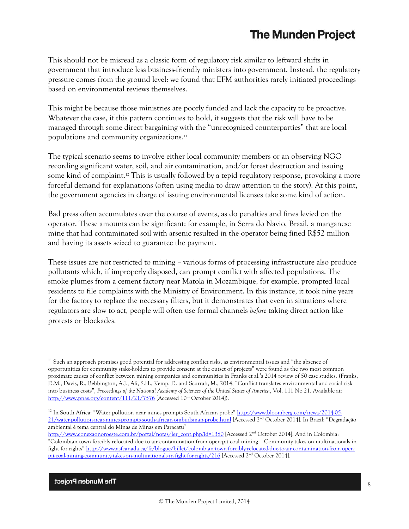This should not be misread as a classic form of regulatory risk similar to leftward shifts in government that introduce less business-friendly ministers into government. Instead, the regulatory pressure comes from the ground level: we found that EFM authorities rarely initiated proceedings based on environmental reviews themselves.

This might be because those ministries are poorly funded and lack the capacity to be proactive. Whatever the case, if this pattern continues to hold, it suggests that the risk will have to be managed through some direct bargaining with the "unrecognized counterparties" that are local populations and community organizations. 11

The typical scenario seems to involve either local community members or an observing NGO recording significant water, soil, and air contamination, and/or forest destruction and issuing some kind of complaint. <sup>12</sup> This is usually followed by a tepid regulatory response, provoking a more forceful demand for explanations (often using media to draw attention to the story). At this point, the government agencies in charge of issuing environmental licenses take some kind of action.

Bad press often accumulates over the course of events, as do penalties and fines levied on the operator. These amounts can be significant: for example, in Serra do Navio, Brazil, a manganese mine that had contaminated soil with arsenic resulted in the operator being fined R\$52 million and having its assets seized to guarantee the payment.

These issues are not restricted to mining – various forms of processing infrastructure also produce pollutants which, if improperly disposed, can prompt conflict with affected populations. The smoke plumes from a cement factory near Matola in Mozambique, for example, prompted local residents to file complaints with the Ministry of Environment. In this instance, it took nine years for the factory to replace the necessary filters, but it demonstrates that even in situations where regulators are slow to act, people will often use formal channels *before* taking direct action like protests or blockades*.*

 $11$  Such an approach promises good potential for addressing conflict risks, as environmental issues and "the absence of opportunities for community stake-holders to provide consent at the outset of projects" were found as the two most common proximate causes of conflict between mining companies and communities in Franks et al.'s 2014 review of 50 case studies. (Franks, D.M., Davis, R., Bebbington, A.J., Ali, S.H., Kemp, D. and Scurrah, M., 2014, "Conflict translates environmental and social risk into business costs", *Proceedings of the National Academy of Sciences of the United States of America*, Vol. 111 No 21. Available at: <http://www.pnas.org/content/111/21/7576> [Accessed 10<sup>th</sup> October 2014]).

<sup>12</sup> In South Africa: "Water pollution near mines prompts South African probe" [http://www.bloomberg.com/news/2014-05-](http://www.bloomberg.com/news/2014-05-21/water-pollution-near-mines-prompts-south-african-ombudsman-probe.html) [21/water-pollution-near-mines-prompts-south-african-ombudsman-probe.html](http://www.bloomberg.com/news/2014-05-21/water-pollution-near-mines-prompts-south-african-ombudsman-probe.html) [Accessed 2nd October 2014]. In Brazil: "Degradação ambiental é tema central do Minas de Minas em Paracatu"

[http://www.conexaonoroeste.com.br/portal/notas/ler\\_cont.php?id=1380](http://www.conexaonoroeste.com.br/portal/notas/ler_cont.php?id=1380) [Accessed 2<sup>nd</sup> October 2014]. And in Colombia: "Colombian town forcibly relocated due to air contamination from open-pit coal mining – Community takes on multinationals in fight for rights" [http://www.asfcanada.ca/fr/blogue/billet/colombian-town-forcibly-relocated-due-to-air-contamination-from-open](http://www.asfcanada.ca/fr/blogue/billet/colombian-town-forcibly-relocated-due-to-air-contamination-from-open-pit-coal-mining-community-takes-on-multinationals-in-fight-for-rights/216)[pit-coal-mining-community-takes-on-multinationals-in-fight-for-rights/216](http://www.asfcanada.ca/fr/blogue/billet/colombian-town-forcibly-relocated-due-to-air-contamination-from-open-pit-coal-mining-community-takes-on-multinationals-in-fight-for-rights/216) [Accessed 2nd October 2014].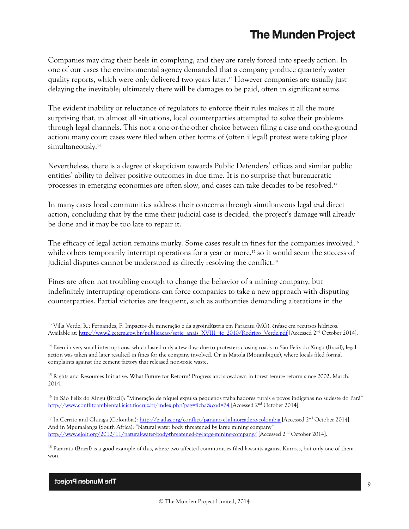Companies may drag their heels in complying, and they are rarely forced into speedy action. In one of our cases the environmental agency demanded that a company produce quarterly water quality reports, which were only delivered two years later. <sup>13</sup> However companies are usually just delaying the inevitable; ultimately there will be damages to be paid, often in significant sums.

The evident inability or reluctance of regulators to enforce their rules makes it all the more surprising that, in almost all situations, local counterparties attempted to solve their problems through legal channels. This not a one-or-the-other choice between filing a case and on-the-ground action: many court cases were filed when other forms of (often illegal) protest were taking place simultaneously.<sup>14</sup>

Nevertheless, there is a degree of skepticism towards Public Defenders' offices and similar public entities' ability to deliver positive outcomes in due time. It is no surprise that bureaucratic processes in emerging economies are often slow, and cases can take decades to be resolved. 15

In many cases local communities address their concerns through simultaneous legal *and* direct action, concluding that by the time their judicial case is decided, the project's damage will already be done and it may be too late to repair it.

The efficacy of legal action remains murky. Some cases result in fines for the companies involved,<sup>16</sup> while others temporarily interrupt operations for a year or more, <sup>17</sup> so it would seem the success of judicial disputes cannot be understood as directly resolving the conflict.<sup>18</sup>

Fines are often not troubling enough to change the behavior of a mining company, but indefinitely interrupting operations can force companies to take a new approach with disputing counterparties. Partial victories are frequent, such as authorities demanding alterations in the

<sup>13</sup> Villa Verde, R.; Fernandes, F. Impactos da mineração e da agroindústria em Paracatu (MG): ênfase em recursos hídricos. Available at: [http://www2.cetem.gov.br/publicacao/serie\\_anais\\_XVIII\\_jic\\_2010/Rodrigo\\_Verde.pdf](http://www2.cetem.gov.br/publicacao/serie_anais_XVIII_jic_2010/Rodrigo_Verde.pdf) [Accessed 2nd October 2014].

<sup>&</sup>lt;sup>14</sup> Even in very small interruptions, which lasted only a few days due to protesters closing roads in São Felix do Xingu (Brazil), legal action was taken and later resulted in fines for the company involved. Or in Matola (Mozambique), where locals filed formal complaints against the cement factory that released non-toxic waste.

<sup>&</sup>lt;sup>15</sup> Rights and Resources Initiative. What Future for Reform? Progress and slowdown in forest tenure reform since 2002. March, 2014.

<sup>16</sup> In São Felix do Xingu (Brazil): "Mineração de níquel expulsa pequenos trabalhadores rurais e povos indígenas no sudeste do Pará" <http://www.conflitoambiental.icict.fiocruz.br/index.php?pag=ficha&cod=74> [Accessed 2<sup>nd</sup> October 2014].

<sup>&</sup>lt;sup>17</sup> In Cerrito and Chitaga (Colombia):<http://ejatlas.org/conflict/paramo-el-almorzadero-colombia> [Accessed 2<sup>nd</sup> October 2014]. And in Mpumalanga (South Africa): "Natural water body threatened by large mining company" <http://www.ejolt.org/2012/11/natural-water-body-threatened-by-large-mining-company/> [Accessed 2nd October 2014].

<sup>&</sup>lt;sup>18</sup> Paracatu (Brazil) is a good example of this, where two affected communities filed lawsuits against Kinross, but only one of them won.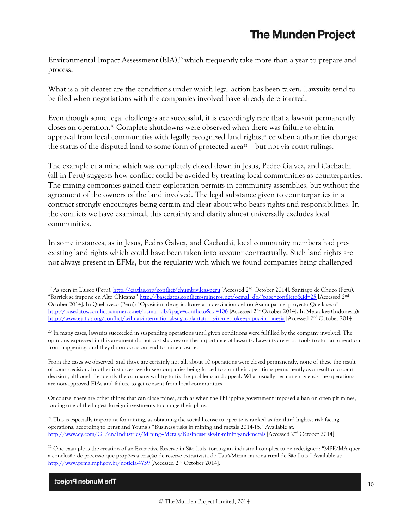Environmental Impact Assessment (EIA), <sup>19</sup> which frequently take more than a year to prepare and process.

What is a bit clearer are the conditions under which legal action has been taken. Lawsuits tend to be filed when negotiations with the companies involved have already deteriorated.

Even though some legal challenges are successful, it is exceedingly rare that a lawsuit permanently closes an operation. <sup>20</sup> Complete shutdowns were observed when there was failure to obtain approval from local communities with legally recognized land rights, <sup>21</sup> or when authorities changed the status of the disputed land to some form of protected area<sup> $22$ </sup> – but not via court rulings.

The example of a mine which was completely closed down in Jesus, Pedro Galvez, and Cachachi (all in Peru) suggests how conflict could be avoided by treating local communities as counterparties. The mining companies gained their exploration permits in community assemblies, but without the agreement of the owners of the land involved. The legal substance given to counterparties in a contract strongly encourages being certain and clear about who bears rights and responsibilities. In the conflicts we have examined, this certainty and clarity almost universally excludes local communities.

In some instances, as in Jesus, Pedro Galvez, and Cachachi, local community members had preexisting land rights which could have been taken into account contractually. Such land rights are not always present in EFMs, but the regularity with which we found companies being challenged

From the cases we observed, and those are certainly not all, about 10 operations were closed permanently, none of these the result of court decision. In other instances, we do see companies being forced to stop their operations permanently as a result of a court decision, although frequently the company will try to fix the problems and appeal. What usually permanently ends the operations are non-approved EIAs and failure to get consent from local communities.

Of course, there are other things that can close mines, such as when the Philippine government imposed a ban on open-pit mines, forcing one of the largest foreign investments to change their plans.

The Munden Project

<sup>&</sup>lt;sup>19</sup> As seen in Llusco (Peru)[: http://ejatlas.org/conflict/chumbivilcas-peru](http://ejatlas.org/conflict/chumbivilcas-peru) [Accessed 2<sup>nd</sup> October 2014]. Santiago de Chuco (Peru): "Barrick se impone en Alto Chicama" [http://basedatos.conflictosmineros.net/ocmal\\_db/?page=conflicto&id=25](http://basedatos.conflictosmineros.net/ocmal_db/?page=conflicto&id=25) [Accessed 2nd October 2014]. In Quellaveco (Peru): "Oposición de agricultores a la desviación del río Asana para el proyecto Quellaveco" [http://basedatos.conflictosmineros.net/ocmal\\_db/?page=conflicto&id=106](http://basedatos.conflictosmineros.net/ocmal_db/?page=conflicto&id=106) [Accessed 2<sup>nd</sup> October 2014]. In Meraukee (Indonesia): <http://www.ejatlas.org/conflict/wilmar-international-sugar-plantations-in-meraukee-papua-indonesia> [Accessed 2nd October 2014].

<sup>&</sup>lt;sup>20</sup> In many cases, lawsuits succeeded in suspending operations until given conditions were fulfilled by the company involved. The opinions expressed in this argument do not cast shadow on the importance of lawsuits. Lawsuits are good tools to stop an operation from happening, and they do on occasion lead to mine closure.

 $21$  This is especially important for mining, as obtaining the social license to operate is ranked as the third highest risk facing operations, according to Ernst and Young's "Business risks in mining and metals 2014-15." Available at: http://www.ey.com/GL/en/Industries/Mining--Metals/Business-risks-in-mining-and-metals [Accessed 2<sup>nd</sup> October 2014].

 $^{22}$  One example is the creation of an Extractive Reserve in São Luís, forcing an industrial complex to be redesigned: "MPF/MA quer a conclusão de processo que propões a criação de reserve extrativista do Tauá-Mirim na zona rural de São Luís." Available at: <http://www.prma.mpf.gov.br/noticia-4739> [Accessed 2<sup>nd</sup> October 2014].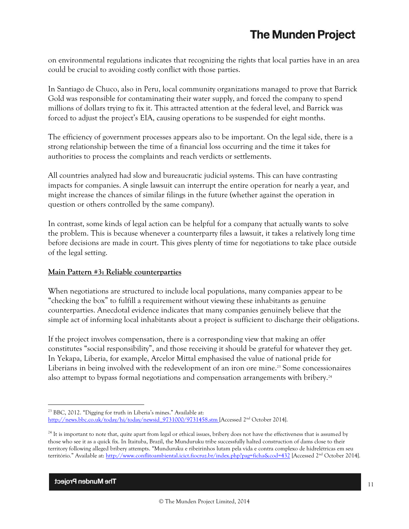on environmental regulations indicates that recognizing the rights that local parties have in an area could be crucial to avoiding costly conflict with those parties.

In Santiago de Chuco, also in Peru, local community organizations managed to prove that Barrick Gold was responsible for contaminating their water supply, and forced the company to spend millions of dollars trying to fix it. This attracted attention at the federal level, and Barrick was forced to adjust the project's EIA, causing operations to be suspended for eight months.

The efficiency of government processes appears also to be important. On the legal side, there is a strong relationship between the time of a financial loss occurring and the time it takes for authorities to process the complaints and reach verdicts or settlements.

All countries analyzed had slow and bureaucratic judicial systems. This can have contrasting impacts for companies. A single lawsuit can interrupt the entire operation for nearly a year, and might increase the chances of similar filings in the future (whether against the operation in question or others controlled by the same company).

In contrast, some kinds of legal action can be helpful for a company that actually wants to solve the problem. This is because whenever a counterparty files a lawsuit, it takes a relatively long time before decisions are made in court. This gives plenty of time for negotiations to take place outside of the legal setting.

## **Main Pattern #3: Reliable counterparties**

When negotiations are structured to include local populations, many companies appear to be "checking the box" to fulfill a requirement without viewing these inhabitants as genuine counterparties. Anecdotal evidence indicates that many companies genuinely believe that the simple act of informing local inhabitants about a project is sufficient to discharge their obligations.

If the project involves compensation, there is a corresponding view that making an offer constitutes "social responsibility", and those receiving it should be grateful for whatever they get. In Yekapa, Liberia, for example, Arcelor Mittal emphasised the value of national pride for Liberians in being involved with the redevelopment of an iron ore mine. <sup>23</sup> Some concessionaires also attempt to bypass formal negotiations and compensation arrangements with bribery. 24

 $\overline{a}$ <sup>23</sup> BBC, 2012. "Digging for truth in Liberia's mines." Available at: [http://news.bbc.co.uk/today/hi/today/newsid\\_9731000/9731458.stm](http://news.bbc.co.uk/today/hi/today/newsid_9731000/9731458.stm) [Accessed 2nd October 2014].

<sup>&</sup>lt;sup>24</sup> It is important to note that, quite apart from legal or ethical issues, bribery does not have the effectiveness that is assumed by those who see it as a quick fix. In Itaituba, Brazil, the Munduruku tribe successfully halted construction of dams close to their territory following alleged bribery attempts. "Munduruku e ribeirinhos lutam pela vida e contra complexo de hidrelétricas em seu território." Available at: <http://www.conflitoambiental.icict.fiocruz.br/index.php?pag=ficha&cod=432> [Accessed 2<sup>nd</sup> October 2014].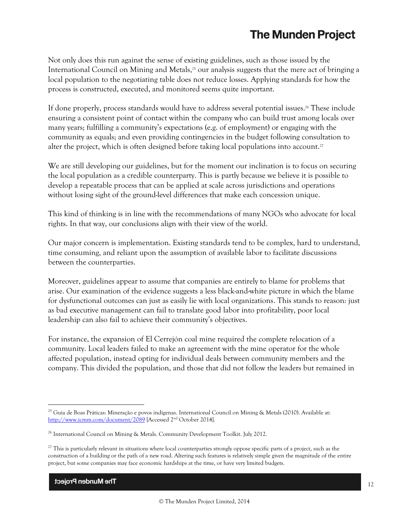Not only does this run against the sense of existing guidelines, such as those issued by the International Council on Mining and Metals, <sup>25</sup> our analysis suggests that the mere act of bringing a local population to the negotiating table does not reduce losses. Applying standards for how the process is constructed, executed, and monitored seems quite important.

If done properly, process standards would have to address several potential issues. <sup>26</sup> These include ensuring a consistent point of contact within the company who can build trust among locals over many years; fulfilling a community's expectations (e.g. of employment) or engaging with the community as equals; and even providing contingencies in the budget following consultation to alter the project, which is often designed before taking local populations into account.<sup>27</sup>

We are still developing our guidelines, but for the moment our inclination is to focus on securing the local population as a credible counterparty. This is partly because we believe it is possible to develop a repeatable process that can be applied at scale across jurisdictions and operations without losing sight of the ground-level differences that make each concession unique.

This kind of thinking is in line with the recommendations of many NGOs who advocate for local rights. In that way, our conclusions align with their view of the world.

Our major concern is implementation. Existing standards tend to be complex, hard to understand, time consuming, and reliant upon the assumption of available labor to facilitate discussions between the counterparties.

Moreover, guidelines appear to assume that companies are entirely to blame for problems that arise. Our examination of the evidence suggests a less black-and-white picture in which the blame for dysfunctional outcomes can just as easily lie with local organizations. This stands to reason: just as bad executive management can fail to translate good labor into profitability, poor local leadership can also fail to achieve their community's objectives.

For instance, the expansion of El Cerrejón coal mine required the complete relocation of a community. Local leaders failed to make an agreement with the mine operator for the whole affected population, instead opting for individual deals between community members and the company. This divided the population, and those that did not follow the leaders but remained in

<sup>25</sup> Guia de Boas Práticas: Mineração e povos indígenas. International Council on Mining & Metals (2010). Available at: <http://www.icmm.com/document/2089> [Accessed 2<sup>nd</sup> October 2014].

<sup>&</sup>lt;sup>26</sup> International Council on Mining & Metals. Community Development Toolkit. July 2012.

 $27$  This is particularly relevant in situations where local counterparties strongly oppose specific parts of a project, such as the construction of a building or the path of a new road. Altering such features is relatively simple given the magnitude of the entire project, but some companies may face economic hardships at the time, or have very limited budgets.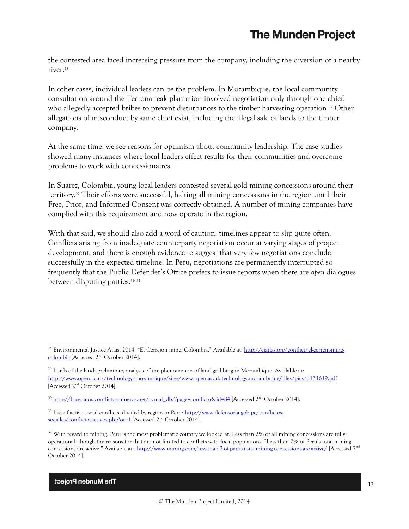the contested area faced increasing pressure from the company, including the diversion of a nearby river. 28

In other cases, individual leaders can be the problem. In Mozambique, the local community consultation around the Tectona teak plantation involved negotiation only through one chief, who allegedly accepted bribes to prevent disturbances to the timber harvesting operation. <sup>29</sup> Other allegations of misconduct by same chief exist, including the illegal sale of lands to the timber company.

At the same time, we see reasons for optimism about community leadership. The case studies showed many instances where local leaders effect results for their communities and overcome problems to work with concessionaires.

In Suárez, Colombia, young local leaders contested several gold mining concessions around their territory. <sup>30</sup> Their efforts were successful, halting all mining concessions in the region until their Free, Prior, and Informed Consent was correctly obtained. A number of mining companies have complied with this requirement and now operate in the region.

With that said, we should also add a word of caution: timelines appear to slip quite often. Conflicts arising from inadequate counterparty negotiation occur at varying stages of project development, and there is enough evidence to suggest that very few negotiations conclude successfully in the expected timeline. In Peru, negotiations are permanently interrupted so frequently that the Public Defender's Office prefers to issue reports when there are *open* dialogues between disputing parties.<sup>31, 32</sup>

<sup>&</sup>lt;sup>28</sup> Environmental Justice Atlas, 2014. "El Cerrejón mine, Colombia." Available at[: http://ejatlas.org/conflict/el-cerrejn-mine](http://ejatlas.org/conflict/el-cerrejn-mine-colombia)[colombia](http://ejatlas.org/conflict/el-cerrejn-mine-colombia) [Accessed 2nd October 2014].

 $^{29}$  Lords of the land: preliminary analysis of the phenomenon of land grabbing in Mozambique. Available at: <http://www.open.ac.uk/technology/mozambique/sites/www.open.ac.uk.technology.mozambique/files/pics/d131619.pdf> [Accessed 2nd October 2014].

<sup>&</sup>lt;sup>30</sup> [http://basedatos.conflictosmineros.net/ocmal\\_db/?page=conflicto&id=84](http://basedatos.conflictosmineros.net/ocmal_db/?page=conflicto&id=84) [Accessed 2<sup>nd</sup> October 2014].

<sup>&</sup>lt;sup>31</sup> List of active social conflicts, divided by region in Peru: [http://www.defensoria.gob.pe/conflictos](http://www.defensoria.gob.pe/conflictos-sociales/conflictosactivos.php?ot=1)[sociales/conflictosactivos.php?ot=1](http://www.defensoria.gob.pe/conflictos-sociales/conflictosactivos.php?ot=1) [Accessed 2<sup>nd</sup> October 2014].

<sup>&</sup>lt;sup>32</sup> With regard to mining, Peru is the most problematic country we looked at. Less than 2% of all mining concessions are fully operational, though the reasons for that are not limited to conflicts with local populations: "Less than 2% of Peru's total mining concessions are active." Available at: <http://www.mining.com/less-than-2-of-perus-total-mining-concessions-are-active/> [Accessed 2nd October 2014].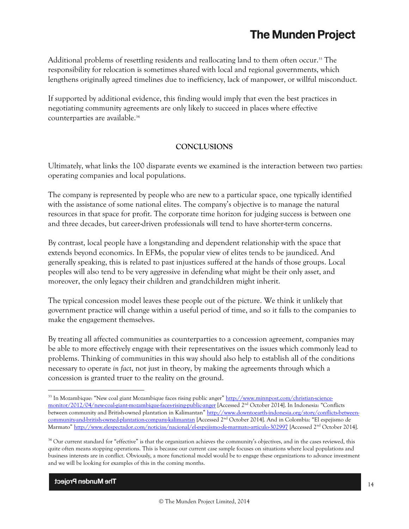Additional problems of resettling residents and reallocating land to them often occur.<sup>33</sup> The responsibility for relocation is sometimes shared with local and regional governments, which lengthens originally agreed timelines due to inefficiency, lack of manpower, or willful misconduct.

If supported by additional evidence, this finding would imply that even the best practices in negotiating community agreements are only likely to succeed in places where effective counterparties are available. 34

### **CONCLUSIONS**

Ultimately, what links the 100 disparate events we examined is the interaction between two parties: operating companies and local populations.

The company is represented by people who are new to a particular space, one typically identified with the assistance of some national elites. The company's objective is to manage the natural resources in that space for profit. The corporate time horizon for judging success is between one and three decades, but career-driven professionals will tend to have shorter-term concerns.

By contrast, local people have a longstanding and dependent relationship with the space that extends beyond economics. In EFMs, the popular view of elites tends to be jaundiced. And generally speaking, this is related to past injustices suffered at the hands of those groups. Local peoples will also tend to be very aggressive in defending what might be their only asset, and moreover, the only legacy their children and grandchildren might inherit.

The typical concession model leaves these people out of the picture. We think it unlikely that government practice will change within a useful period of time, and so it falls to the companies to make the engagement themselves.

By treating all affected communities as counterparties to a concession agreement, companies may be able to more effectively engage with their representatives on the issues which commonly lead to problems. Thinking of communities in this way should also help to establish all of the conditions necessary to operate *in fact*, not just in theory, by making the agreements through which a concession is granted truer to the reality on the ground.

The Munden Project

<sup>&</sup>lt;sup>33</sup> In Mozambique: "New coal giant Mozambique faces rising public anger" [http://www.minnpost.com/christian-science](http://www.minnpost.com/christian-science-monitor/2012/04/new-coal-giant-mozambique-faces-rising-public-anger)[monitor/2012/04/new-coal-giant-mozambique-faces-rising-public-anger](http://www.minnpost.com/christian-science-monitor/2012/04/new-coal-giant-mozambique-faces-rising-public-anger) [Accessed 2nd October 2014]. In Indonesia: "Conflicts between community and British-owned plantation in Kalimantan" [http://www.downtoearth-indonesia.org/story/conflicts-between](http://www.downtoearth-indonesia.org/story/conflicts-between-community-and-british-owned-plantation-company-kalimantan)[community-and-british-owned-plantation-company-kalimantan](http://www.downtoearth-indonesia.org/story/conflicts-between-community-and-british-owned-plantation-company-kalimantan) [Accessed 2<sup>nd</sup> October 2014]. And in Colombia: "El espejismo de Marmato" <http://www.elespectador.com/noticias/nacional/el-espejismo-de-marmato-articulo-302997> [Accessed 2<sup>nd</sup> October 2014].

<sup>&</sup>lt;sup>34</sup> Our current standard for "effective" is that the organization achieves the community's objectives, and in the cases reviewed, this quite often means stopping operations. This is because our current case sample focuses on situations where local populations and business interests are in conflict. Obviously, a more functional model would be to engage these organizations to advance investment and we will be looking for examples of this in the coming months.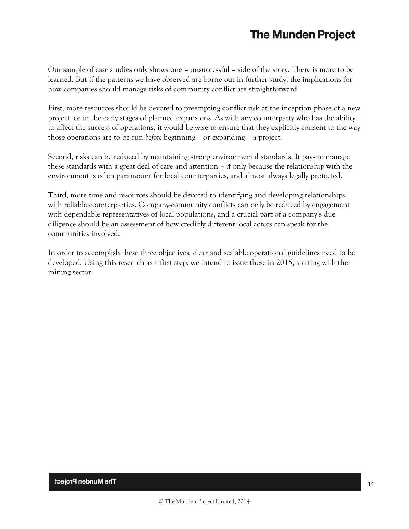Our sample of case studies only shows one – unsuccessful – side of the story. There is more to be learned. But if the patterns we have observed are borne out in further study, the implications for how companies should manage risks of community conflict are straightforward.

First, more resources should be devoted to preempting conflict risk at the inception phase of a new project, or in the early stages of planned expansions. As with any counterparty who has the ability to affect the success of operations, it would be wise to ensure that they explicitly consent to the way those operations are to be run *before* beginning – or expanding – a project.

Second, risks can be reduced by maintaining strong environmental standards. It pays to manage these standards with a great deal of care and attention – if only because the relationship with the environment is often paramount for local counterparties, and almost always legally protected.

Third, more time and resources should be devoted to identifying and developing relationships with reliable counterparties. Company-community conflicts can only be reduced by engagement with dependable representatives of local populations, and a crucial part of a company's due diligence should be an assessment of how credibly different local actors can speak for the communities involved.

In order to accomplish these three objectives, clear and scalable operational guidelines need to be developed. Using this research as a first step, we intend to issue these in 2015, starting with the mining sector.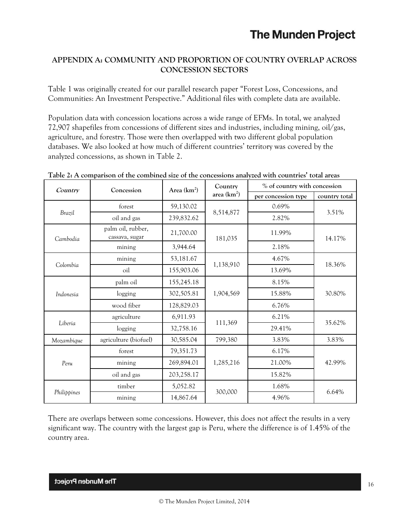## **APPENDIX A: COMMUNITY AND PROPORTION OF COUNTRY OVERLAP ACROSS CONCESSION SECTORS**

Table 1 was originally created for our parallel research paper "Forest Loss, Concessions, and Communities: An Investment Perspective." Additional files with complete data are available.

Population data with concession locations across a wide range of EFMs. In total, we analyzed 72,907 shapefiles from concessions of different sizes and industries, including mining, oil/gas, agriculture, and forestry. Those were then overlapped with two different global population databases. We also looked at how much of different countries' territory was covered by the analyzed concessions, as shown in Table 2.

| Country     | Area $(km^2)$<br>Concession         |            | Country       | % of country with concession |               |  |
|-------------|-------------------------------------|------------|---------------|------------------------------|---------------|--|
|             |                                     |            | area $(km^2)$ | per concession type          | country total |  |
|             | forest                              | 59,130.02  | 8,514,877     | 0.69%                        | 3.51%         |  |
| Brazil      | oil and gas                         | 239,832.62 |               | 2.82%                        |               |  |
| Cambodia    | palm oil, rubber,<br>cassava, sugar | 21,700.00  | 181,035       | 11.99%                       | 14.17%        |  |
|             | mining                              | 3,944.64   |               | 2.18%                        |               |  |
|             | mining                              | 53,181.67  |               | 4.67%                        | 18.36%        |  |
| Colombia    | oil                                 | 155,903.06 | 1,138,910     | 13.69%                       |               |  |
|             | palm oil                            | 155,245.18 |               | 8.15%                        |               |  |
| Indonesia   | logging                             | 302,505.81 | 1,904,569     | 15.88%                       | 30.80%        |  |
|             | wood fiber                          | 128,829.03 |               | 6.76%                        |               |  |
|             | agriculture                         | 6,911.93   |               | 6.21%                        | 35.62%        |  |
| Liberia     | logging                             | 32,758.16  | 111,369       | 29.41%                       |               |  |
| Mozambique  | agriculture (biofuel)               | 30,585.04  | 799,380       | 3.83%                        | 3.83%         |  |
| Peru        | forest                              | 79,351.73  |               | 6.17%                        | 42.99%        |  |
|             | mining                              | 269,894.01 | 1,285,216     | 21.00%                       |               |  |
|             | oil and gas                         | 203,258.17 |               | 15.82%                       |               |  |
|             | timber                              | 5,052.82   |               | 1.68%                        | 6.64%         |  |
| Philippines | mining                              | 14,867.64  | 300,000       | 4.96%                        |               |  |

**Table 2: A comparison of the combined size of the concessions analyzed with countries' total areas**

There are overlaps between some concessions. However, this does not affect the results in a very significant way. The country with the largest gap is Peru, where the difference is of 1.45% of the country area.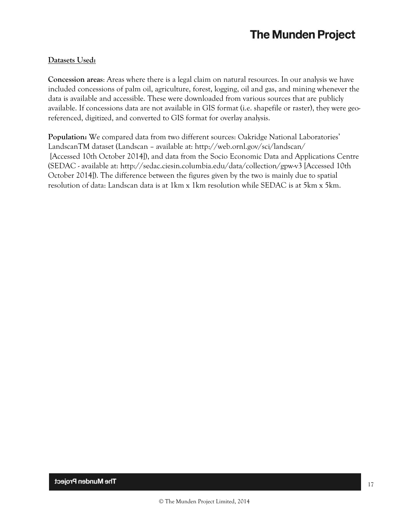## **Datasets Used:**

**Concession areas**: Areas where there is a legal claim on natural resources. In our analysis we have included concessions of palm oil, agriculture, forest, logging, oil and gas, and mining whenever the data is available and accessible. These were downloaded from various sources that are publicly available. If concessions data are not available in GIS format (i.e. shapefile or raster), they were georeferenced, digitized, and converted to GIS format for overlay analysis.

**Population:** We compared data from two different sources: Oakridge National Laboratories' LandscanTM dataset (Landscan – available at:<http://web.ornl.gov/sci/landscan/> [Accessed 10th October 2014]), and data from the Socio Economic Data and Applications Centre (SEDAC - available at:<http://sedac.ciesin.columbia.edu/data/collection/gpw-v3> [Accessed 10th October 2014]). The difference between the figures given by the two is mainly due to spatial resolution of data: Landscan data is at 1km x 1km resolution while SEDAC is at 5km x 5km.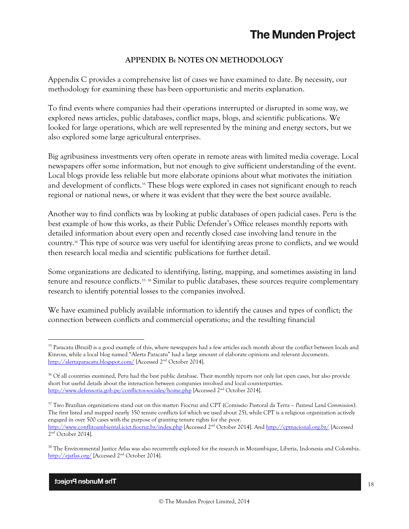## **APPENDIX B: NOTES ON METHODOLOGY**

Appendix C provides a comprehensive list of cases we have examined to date. By necessity, our methodology for examining these has been opportunistic and merits explanation.

To find events where companies had their operations interrupted or disrupted in some way, we explored news articles, public databases, conflict maps, blogs, and scientific publications. We looked for large operations, which are well represented by the mining and energy sectors, but we also explored some large agricultural enterprises.

Big agribusiness investments very often operate in remote areas with limited media coverage. Local newspapers offer some information, but not enough to give sufficient understanding of the event. Local blogs provide less reliable but more elaborate opinions about what motivates the initiation and development of conflicts. <sup>35</sup> These blogs were explored in cases not significant enough to reach regional or national news, or where it was evident that they were the best source available.

Another way to find conflicts was by looking at public databases of open judicial cases. Peru is the best example of how this works, as their Public Defender's Office releases monthly reports with detailed information about every open and recently closed case involving land tenure in the country. <sup>36</sup> This type of source was very useful for identifying areas prone to conflicts, and we would then research local media and scientific publications for further detail.

Some organizations are dedicated to identifying, listing, mapping, and sometimes assisting in land tenure and resource conflicts.<sup>37, 38</sup> Similar to public databases, these sources require complementary research to identify potential losses to the companies involved.

We have examined publicly available information to identify the causes and types of conflict; the connection between conflicts and commercial operations; and the resulting financial

<sup>&</sup>lt;sup>35</sup> Paracatu (Brazil) is a good example of this, where newspapers had a few articles each month about the conflict between locals and Kinross, while a local blog named "Alerta Paracatu" had a large amount of elaborate opinions and relevant documents. <http://alertaparacatu.blogspot.com/> [Accessed 2<sup>nd</sup> October 2014].

<sup>&</sup>lt;sup>36</sup> Of all countries examined, Peru had the best public database. Their monthly reports not only list open cases, but also provide short but useful details about the interaction between companies involved and local counterparties. <http://www.defensoria.gob.pe/conflictos-sociales/home.php> [Accessed 2nd October 2014].

<sup>37</sup> Two Brazilian organizations stand out on this matter: Fiocruz and CPT (Comissão Pastoral da Terra – *Pastoral Land Commission*). The first listed and mapped nearly 350 tenure conflicts (of which we used about 25), while CPT is a religious organization actively engaged in over 500 cases with the purpose of granting tenure rights for the poor. <http://www.conflitoambiental.icict.fiocruz.br/index.php> [Accessed 2nd October 2014]. An[d http://cptnacional.org.br/](http://cptnacional.org.br/) [Accessed

<sup>2</sup> nd October 2014].

<sup>&</sup>lt;sup>38</sup> The Environmental Justice Atlas was also recurrently explored for the research in Mozambique, Liberia, Indonesia and Colombia. <http://ejatlas.org/> [Accessed 2<sup>nd</sup> October 2014].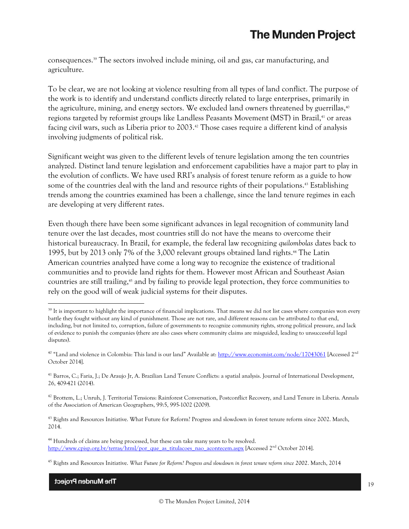consequences. <sup>39</sup> The sectors involved include mining, oil and gas, car manufacturing, and agriculture.

To be clear, we are not looking at violence resulting from all types of land conflict. The purpose of the work is to identify and understand conflicts directly related to large enterprises, primarily in the agriculture, mining, and energy sectors. We excluded land owners threatened by guerrillas, $^\mathrm{40}$ regions targeted by reformist groups like Landless Peasants Movement (MST) in Brazil, <sup>41</sup> or areas facing civil wars, such as Liberia prior to 2003.<sup>42</sup> Those cases require a different kind of analysis involving judgments of political risk.

Significant weight was given to the different levels of tenure legislation among the ten countries analyzed. Distinct land tenure legislation and enforcement capabilities have a major part to play in the evolution of conflicts. We have used RRI's analysis of forest tenure reform as a guide to how some of the countries deal with the land and resource rights of their populations. <sup>43</sup> Establishing trends among the countries examined has been a challenge, since the land tenure regimes in each are developing at very different rates.

Even though there have been some significant advances in legal recognition of community land tenure over the last decades, most countries still do not have the means to overcome their historical bureaucracy. In Brazil, for example, the federal law recognizing *quilombolas* dates back to 1995, but by 2013 only 7% of the 3,000 relevant groups obtained land rights. <sup>44</sup> The Latin American countries analyzed have come a long way to recognize the existence of traditional communities and to provide land rights for them. However most African and Southeast Asian countries are still trailing, <sup>45</sup> and by failing to provide legal protection, they force communities to rely on the good will of weak judicial systems for their disputes.

<sup>43</sup> Rights and Resources Initiative. What Future for Reform? Progress and slowdown in forest tenure reform since 2002. March, 2014.

<sup>44</sup> Hundreds of claims are being processed, but these can take many years to be resolved. [http://www.cpisp.org.br/terras/html/por\\_que\\_as\\_titulacoes\\_nao\\_acontecem.aspx](http://www.cpisp.org.br/terras/html/por_que_as_titulacoes_nao_acontecem.aspx) [Accessed 2nd October 2014].

The Munden Project

<sup>&</sup>lt;sup>39</sup> It is important to highlight the importance of financial implications. That means we did not list cases where companies won every battle they fought without any kind of punishment. Those are not rare, and different reasons can be attributed to that end, including, but not limited to, corruption, failure of governments to recognize community rights, strong political pressure, and lack of evidence to punish the companies (there are also cases where community claims are misguided, leading to unsuccessful legal disputes).

<sup>40</sup> "Land and violence in Colombia: This land is our land" Available at: <http://www.economist.com/node/17043061> [Accessed 2nd October 2014].

<sup>41</sup> Barros, C.; Faria, J.; De Araujo Jr, A. Brazilian Land Tenure Conflicts: a spatial analysis. Journal of International Development, 26, 409-421 (2014).

<sup>&</sup>lt;sup>42</sup> Brottem, L.; Unruh, J. Territorial Tensions: Rainforest Conversation, Postconflict Recovery, and Land Tenure in Liberia. Annals of the Association of American Geographers, 99:5, 995-1002 (2009).

<sup>45</sup> Rights and Resources Initiative. *What Future for Reform? Progress and slowdown in forest tenure reform since 2002*. March, 2014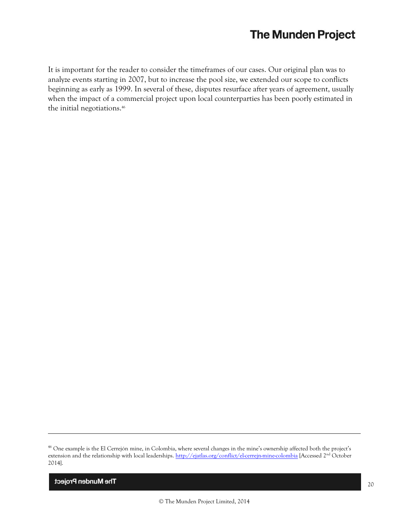It is important for the reader to consider the timeframes of our cases. Our original plan was to analyze events starting in 2007, but to increase the pool size, we extended our scope to conflicts beginning as early as 1999. In several of these, disputes resurface after years of agreement, usually when the impact of a commercial project upon local counterparties has been poorly estimated in the initial negotiations. 46

The Munden Project

<sup>&</sup>lt;sup>46</sup> One example is the El Cerrejón mine, in Colombia, where several changes in the mine's ownership affected both the project's extension and the relationship with local leaderships. <http://ejatlas.org/conflict/el-cerrejn-mine-colombia> [Accessed 2<sup>nd</sup> October 2014].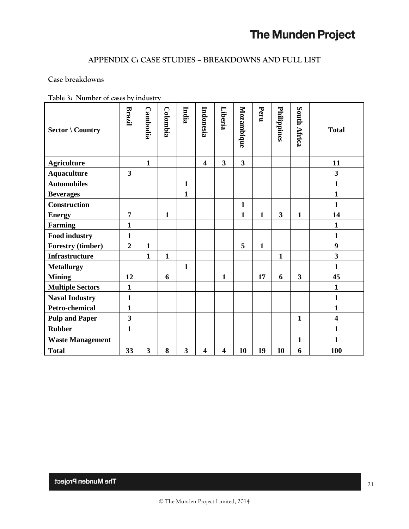## **APPENDIX C: CASE STUDIES – BREAKDOWNS AND FULL LIST**

## **Case breakdowns**

**Table 3: Number of cases by industry**

| <b>Sector \ Country</b>  | Brazil                  | Cambodia     | <b>Colombia</b> | India        | Indonesia               | Liberia                 | Mozambique   | Peru         | Philippines             | South Africa            | <b>Total</b>            |
|--------------------------|-------------------------|--------------|-----------------|--------------|-------------------------|-------------------------|--------------|--------------|-------------------------|-------------------------|-------------------------|
| <b>Agriculture</b>       |                         | $\mathbf{1}$ |                 |              | $\overline{\mathbf{4}}$ | $\overline{\mathbf{3}}$ | $\mathbf{3}$ |              |                         |                         | 11                      |
| <b>Aquaculture</b>       | 3                       |              |                 |              |                         |                         |              |              |                         |                         | $\overline{\mathbf{3}}$ |
| <b>Automobiles</b>       |                         |              |                 | $\mathbf{1}$ |                         |                         |              |              |                         |                         | $\mathbf{1}$            |
| <b>Beverages</b>         |                         |              |                 | $\mathbf{1}$ |                         |                         |              |              |                         |                         | $\mathbf{1}$            |
| Construction             |                         |              |                 |              |                         |                         | $\mathbf{1}$ |              |                         |                         | $\mathbf{1}$            |
| <b>Energy</b>            | $\overline{7}$          |              | 1               |              |                         |                         | $\mathbf{1}$ | $\mathbf{1}$ | $\overline{\mathbf{3}}$ | $\mathbf{1}$            | 14                      |
| <b>Farming</b>           | $\mathbf{1}$            |              |                 |              |                         |                         |              |              |                         |                         | $\mathbf{1}$            |
| <b>Food industry</b>     | 1                       |              |                 |              |                         |                         |              |              |                         |                         | $\mathbf{1}$            |
| <b>Forestry (timber)</b> | $\overline{2}$          | $\mathbf{1}$ |                 |              |                         |                         | 5            | $\mathbf{1}$ |                         |                         | $\boldsymbol{9}$        |
| <b>Infrastructure</b>    |                         | $\mathbf{1}$ | $\mathbf{1}$    |              |                         |                         |              |              | $\mathbf{1}$            |                         | $\overline{\mathbf{3}}$ |
| <b>Metallurgy</b>        |                         |              |                 | $\mathbf{1}$ |                         |                         |              |              |                         |                         | $\mathbf{1}$            |
| <b>Mining</b>            | 12                      |              | 6               |              |                         | $\mathbf{1}$            |              | 17           | 6                       | $\overline{\mathbf{3}}$ | 45                      |
| <b>Multiple Sectors</b>  | $\mathbf{1}$            |              |                 |              |                         |                         |              |              |                         |                         | $\mathbf{1}$            |
| <b>Naval Industry</b>    | $\mathbf{1}$            |              |                 |              |                         |                         |              |              |                         |                         | $\mathbf{1}$            |
| Petro-chemical           | 1                       |              |                 |              |                         |                         |              |              |                         |                         | $\mathbf{1}$            |
| <b>Pulp and Paper</b>    | $\overline{\mathbf{3}}$ |              |                 |              |                         |                         |              |              |                         | $\mathbf{1}$            | $\overline{\mathbf{4}}$ |
| <b>Rubber</b>            | $\mathbf{1}$            |              |                 |              |                         |                         |              |              |                         |                         | $\mathbf{1}$            |
| <b>Waste Management</b>  |                         |              |                 |              |                         |                         |              |              |                         | $\mathbf{1}$            | 1                       |
| <b>Total</b>             | 33                      | 3            | 8               | 3            | $\overline{\mathbf{4}}$ | $\overline{\mathbf{4}}$ | 10           | 19           | 10                      | 6                       | <b>100</b>              |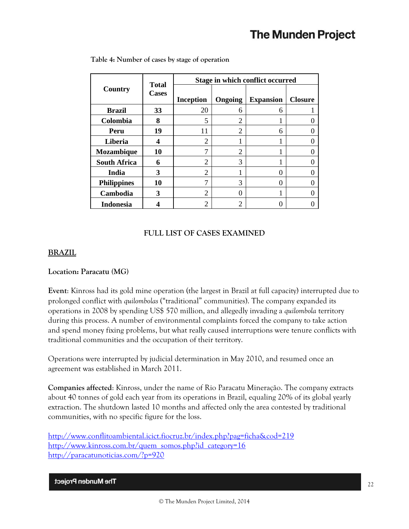|                     | <b>Total</b><br><b>Cases</b> | Stage in which conflict occurred |                |                  |                |  |  |  |  |
|---------------------|------------------------------|----------------------------------|----------------|------------------|----------------|--|--|--|--|
| Country             |                              | <b>Inception</b>                 | Ongoing        | <b>Expansion</b> | <b>Closure</b> |  |  |  |  |
| <b>Brazil</b>       | 33                           | 20                               | 6              | 6                |                |  |  |  |  |
| Colombia            | 8                            | 5                                | $\overline{2}$ |                  |                |  |  |  |  |
| Peru                | 19                           | 11                               | $\overline{c}$ | 6                |                |  |  |  |  |
| Liberia             |                              | 2                                |                |                  |                |  |  |  |  |
| <b>Mozambique</b>   | 10                           | 7                                | $\overline{2}$ |                  |                |  |  |  |  |
| <b>South Africa</b> | 6                            | 2                                | 3              |                  |                |  |  |  |  |
| India               | 3                            | $\overline{c}$                   |                | 0                |                |  |  |  |  |
| <b>Philippines</b>  | 10                           | 7                                | 3              | 0                |                |  |  |  |  |
| Cambodia            | 3                            | $\overline{2}$                   | 0              |                  |                |  |  |  |  |
| <b>Indonesia</b>    |                              | 2                                | $\overline{2}$ |                  |                |  |  |  |  |

**Table 4: Number of cases by stage of operation**

## **FULL LIST OF CASES EXAMINED**

#### **BRAZIL**

#### **Location: Paracatu (MG)**

**Event**: Kinross had its gold mine operation (the largest in Brazil at full capacity) interrupted due to prolonged conflict with *quilombolas* ("traditional" communities). The company expanded its operations in 2008 by spending US\$ 570 million, and allegedly invading a *quilombola* territory during this process. A number of environmental complaints forced the company to take action and spend money fixing problems, but what really caused interruptions were tenure conflicts with traditional communities and the occupation of their territory.

Operations were interrupted by judicial determination in May 2010, and resumed once an agreement was established in March 2011.

**Companies affected**: Kinross, under the name of Rio Paracatu Mineração. The company extracts about 40 tonnes of gold each year from its operations in Brazil, equaling 20% of its global yearly extraction. The shutdown lasted 10 months and affected only the area contested by traditional communities, with no specific figure for the loss.

<http://www.conflitoambiental.icict.fiocruz.br/index.php?pag=ficha&cod=219> [http://www.kinross.com.br/quem\\_somos.php?id\\_category=16](http://www.kinross.com.br/quem_somos.php?id_category=16) <http://paracatunoticias.com/?p=920>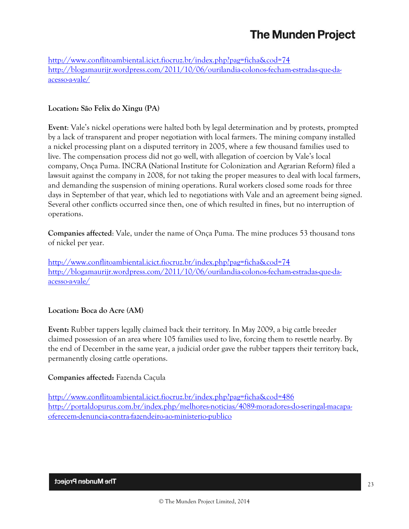<http://www.conflitoambiental.icict.fiocruz.br/index.php?pag=ficha&cod=74> [http://blogamaurijr.wordpress.com/2011/10/06/ourilandia-colonos-fecham-estradas-que-da](http://blogamaurijr.wordpress.com/2011/10/06/ourilandia-colonos-fecham-estradas-que-da-acesso-a-vale/)[acesso-a-vale/](http://blogamaurijr.wordpress.com/2011/10/06/ourilandia-colonos-fecham-estradas-que-da-acesso-a-vale/)

## **Location: São Felix do Xingu (PA)**

**Event**: Vale's nickel operations were halted both by legal determination and by protests, prompted by a lack of transparent and proper negotiation with local farmers. The mining company installed a nickel processing plant on a disputed territory in 2005, where a few thousand families used to live. The compensation process did not go well, with allegation of coercion by Vale's local company, Onça Puma. INCRA (National Institute for Colonization and Agrarian Reform) filed a lawsuit against the company in 2008, for not taking the proper measures to deal with local farmers, and demanding the suspension of mining operations. Rural workers closed some roads for three days in September of that year, which led to negotiations with Vale and an agreement being signed. Several other conflicts occurred since then, one of which resulted in fines, but no interruption of operations.

**Companies affected**: Vale, under the name of Onça Puma. The mine produces 53 thousand tons of nickel per year.

<http://www.conflitoambiental.icict.fiocruz.br/index.php?pag=ficha&cod=74> [http://blogamaurijr.wordpress.com/2011/10/06/ourilandia-colonos-fecham-estradas-que-da](http://blogamaurijr.wordpress.com/2011/10/06/ourilandia-colonos-fecham-estradas-que-da-acesso-a-vale/)[acesso-a-vale/](http://blogamaurijr.wordpress.com/2011/10/06/ourilandia-colonos-fecham-estradas-que-da-acesso-a-vale/)

## **Location: Boca do Acre (AM)**

**Event:** Rubber tappers legally claimed back their territory. In May 2009, a big cattle breeder claimed possession of an area where 105 families used to live, forcing them to resettle nearby. By the end of December in the same year, a judicial order gave the rubber tappers their territory back, permanently closing cattle operations.

#### **Companies affected:** Fazenda Caçula

<http://www.conflitoambiental.icict.fiocruz.br/index.php?pag=ficha&cod=486> [http://portaldopurus.com.br/index.php/melhores-noticias/4089-moradores-do-seringal-macapa](http://portaldopurus.com.br/index.php/melhores-noticias/4089-moradores-do-seringal-macapa-oferecem-denuncia-contra-fazendeiro-ao-ministerio-publico)[oferecem-denuncia-contra-fazendeiro-ao-ministerio-publico](http://portaldopurus.com.br/index.php/melhores-noticias/4089-moradores-do-seringal-macapa-oferecem-denuncia-contra-fazendeiro-ao-ministerio-publico)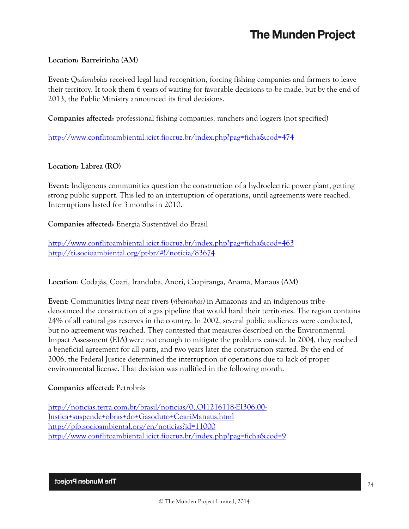### **Location: Barreirinha (AM)**

**Event:** Q*uilombolas* received legal land recognition, forcing fishing companies and farmers to leave their territory. It took them 6 years of waiting for favorable decisions to be made, but by the end of 2013, the Public Ministry announced its final decisions.

**Companies affected:** professional fishing companies, ranchers and loggers (not specified)

<http://www.conflitoambiental.icict.fiocruz.br/index.php?pag=ficha&cod=474>

#### **Location: Lábrea (RO)**

**Event:** Indigenous communities question the construction of a hydroelectric power plant, getting strong public support. This led to an interruption of operations, until agreements were reached. Interruptions lasted for 3 months in 2010.

**Companies affected:** Energia Sustentável do Brasil

<http://www.conflitoambiental.icict.fiocruz.br/index.php?pag=ficha&cod=463> <http://ti.socioambiental.org/pt-br/#!/noticia/83674>

**Location**: Codajás, Coari, Iranduba, Anori, Caapiranga, Anamã, Manaus (AM)

**Event**: Communities living near rivers (*ribeirinhos)* in Amazonas and an indigenous tribe denounced the construction of a gas pipeline that would hard their territories. The region contains 24% of all natural gas reserves in the country. In 2002, several public audiences were conducted, but no agreement was reached. They contested that measures described on the Environmental Impact Assessment (EIA) were not enough to mitigate the problems caused. In 2004, they reached a beneficial agreement for all parts, and two years later the construction started. By the end of 2006, the Federal Justice determined the interruption of operations due to lack of proper environmental license. That decision was nullified in the following month.

#### **Companies affected:** Petrobrás

[http://noticias.terra.com.br/brasil/noticias/0,,OI1216118-EI306,00-](http://noticias.terra.com.br/brasil/noticias/0,,OI1216118-EI306,00-Justica+suspende+obras+do+Gasoduto+CoariManaus.html) [Justica+suspende+obras+do+Gasoduto+CoariManaus.html](http://noticias.terra.com.br/brasil/noticias/0,,OI1216118-EI306,00-Justica+suspende+obras+do+Gasoduto+CoariManaus.html) <http://pib.socioambiental.org/en/noticias?id=11000> <http://www.conflitoambiental.icict.fiocruz.br/index.php?pag=ficha&cod=9>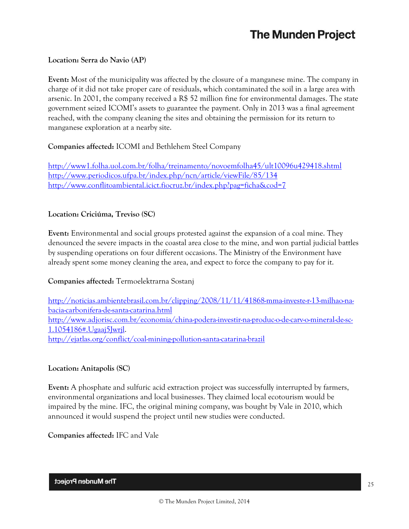## **Location: Serra do Navio (AP)**

**Event:** Most of the municipality was affected by the closure of a manganese mine. The company in charge of it did not take proper care of residuals, which contaminated the soil in a large area with arsenic. In 2001, the company received a R\$ 52 million fine for environmental damages. The state government seized ICOMI's assets to guarantee the payment. Only in 2013 was a final agreement reached, with the company cleaning the sites and obtaining the permission for its return to manganese exploration at a nearby site.

## **Companies affected:** ICOMI and Bethlehem Steel Company

<http://www1.folha.uol.com.br/folha/treinamento/novoemfolha45/ult10096u429418.shtml> <http://www.periodicos.ufpa.br/index.php/ncn/article/viewFile/85/134> <http://www.conflitoambiental.icict.fiocruz.br/index.php?pag=ficha&cod=7>

## **Location: Criciúma, Treviso (SC)**

**Event:** Environmental and social groups protested against the expansion of a coal mine. They denounced the severe impacts in the coastal area close to the mine, and won partial judicial battles by suspending operations on four different occasions. The Ministry of the Environment have already spent some money cleaning the area, and expect to force the company to pay for it.

## **Companies affected:** Termoelektrarna Sostanj

[http://noticias.ambientebrasil.com.br/clipping/2008/11/11/41868-mma-investe-r-13-milhao-na](http://noticias.ambientebrasil.com.br/clipping/2008/11/11/41868-mma-investe-r-13-milhao-na-bacia-carbonifera-de-santa-catarina.html)[bacia-carbonifera-de-santa-catarina.html](http://noticias.ambientebrasil.com.br/clipping/2008/11/11/41868-mma-investe-r-13-milhao-na-bacia-carbonifera-de-santa-catarina.html) [http://www.adjorisc.com.br/economia/china-podera-investir-na-produc-o-de-carv-o-mineral-de-sc-](http://www.adjorisc.com.br/economia/china-podera-investir-na-produc-o-de-carv-o-mineral-de-sc-1.1054186#.Ugaaj5Jwrjl)[1.1054186#.Ugaaj5Jwrjl.](http://www.adjorisc.com.br/economia/china-podera-investir-na-produc-o-de-carv-o-mineral-de-sc-1.1054186#.Ugaaj5Jwrjl) <http://ejatlas.org/conflict/coal-mining-pollution-santa-catarina-brazil>

## **Location: Anitapolis (SC)**

**Event:** A phosphate and sulfuric acid extraction project was successfully interrupted by farmers, environmental organizations and local businesses. They claimed local ecotourism would be impaired by the mine. IFC, the original mining company, was bought by Vale in 2010, which announced it would suspend the project until new studies were conducted.

**Companies affected:** IFC and Vale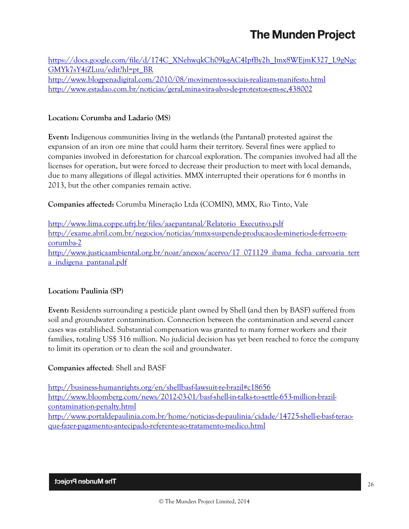[https://docs.google.com/file/d/174C\\_XNehwqkCh09kgAC4IpfBy2h\\_Jmx8WEjmK327\\_L9gNgc](https://docs.google.com/file/d/174C_XNehwqkCh09kgAC4IpfBy2h_Jmx8WEjmK327_L9gNgcGMYk7sY4iZLuu/edit?hl=pt_BR) [GMYk7sY4iZLuu/edit?hl=pt\\_BR](https://docs.google.com/file/d/174C_XNehwqkCh09kgAC4IpfBy2h_Jmx8WEjmK327_L9gNgcGMYk7sY4iZLuu/edit?hl=pt_BR) <http://www.blogpenadigital.com/2010/08/movimentos-sociais-realizam-manifesto.html> <http://www.estadao.com.br/noticias/geral,mina-vira-alvo-de-protestos-em-sc,438002>

## **Location: Corumba and Ladario (MS)**

**Event:** Indigenous communities living in the wetlands (the Pantanal) protested against the expansion of an iron ore mine that could harm their territory. Several fines were applied to companies involved in deforestation for charcoal exploration. The companies involved had all the licenses for operation, but were forced to decrease their production to meet with local demands, due to many allegations of illegal activities. MMX interrupted their operations for 6 months in 2013, but the other companies remain active.

**Companies affected:** Corumba Mineração Ltda (COMIN), MMX, Rio Tinto, Vale

[http://www.lima.coppe.ufrj.br/files/aaepantanal/Relatorio\\_Executivo.pdf](http://www.lima.coppe.ufrj.br/files/aaepantanal/Relatorio_Executivo.pdf) [http://exame.abril.com.br/negocios/noticias/mmx-suspende-producao-de-minerio-de-ferro-em](http://exame.abril.com.br/negocios/noticias/mmx-suspende-producao-de-minerio-de-ferro-em-corumba-2)[corumba-2](http://exame.abril.com.br/negocios/noticias/mmx-suspende-producao-de-minerio-de-ferro-em-corumba-2) [http://www.justicaambiental.org.br/noar/anexos/acervo/17\\_071129\\_ibama\\_fecha\\_carvoaria\\_terr](http://www.justicaambiental.org.br/noar/anexos/acervo/17_071129_ibama_fecha_carvoaria_terra_indigena_pantanal.pdf) [a\\_indigena\\_pantanal.pdf](http://www.justicaambiental.org.br/noar/anexos/acervo/17_071129_ibama_fecha_carvoaria_terra_indigena_pantanal.pdf)

## **Location: Paulinia (SP)**

**Event:** Residents surrounding a pesticide plant owned by Shell (and then by BASF) suffered from soil and groundwater contamination. Connection between the contamination and several cancer cases was established. Substantial compensation was granted to many former workers and their families, totaling US\$ 316 million. No judicial decision has yet been reached to force the company to limit its operation or to clean the soil and groundwater.

## **Companies affected**: Shell and BASF

<http://business-humanrights.org/en/shellbasf-lawsuit-re-brazil#c18656> [http://www.bloomberg.com/news/2012-03-01/basf-shell-in-talks-to-settle-653-million-brazil](http://www.bloomberg.com/news/2012-03-01/basf-shell-in-talks-to-settle-653-million-brazil-contamination-penalty.html)[contamination-penalty.html](http://www.bloomberg.com/news/2012-03-01/basf-shell-in-talks-to-settle-653-million-brazil-contamination-penalty.html) [http://www.portaldepaulinia.com.br/home/noticias-de-paulinia/cidade/14725-shell-e-basf-terao](http://www.portaldepaulinia.com.br/home/noticias-de-paulinia/cidade/14725-shell-e-basf-terao-que-fazer-pagamento-antecipado-referente-ao-tratamento-medico.html)[que-fazer-pagamento-antecipado-referente-ao-tratamento-medico.html](http://www.portaldepaulinia.com.br/home/noticias-de-paulinia/cidade/14725-shell-e-basf-terao-que-fazer-pagamento-antecipado-referente-ao-tratamento-medico.html)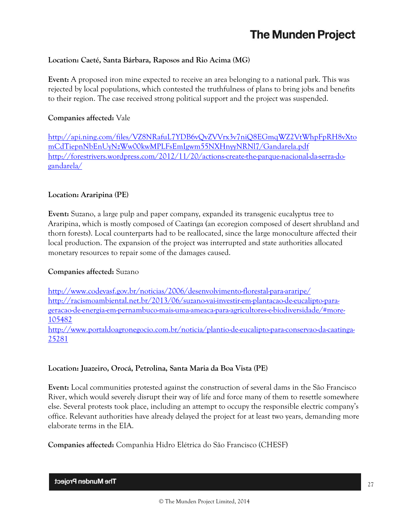## **Location: Caeté, Santa Bárbara, Raposos and Rio Acima (MG)**

**Event:** A proposed iron mine expected to receive an area belonging to a national park. This was rejected by local populations, which contested the truthfulness of plans to bring jobs and benefits to their region. The case received strong political support and the project was suspended.

## **Companies affected:** Vale

[http://api.ning.com/files/VZ8NRafuL7YDB6vQvZVVrx3v7niQ8EGmqWZ2VtWhpFpRH8vXto](http://api.ning.com/files/VZ8NRafuL7YDB6vQvZVVrx3v7niQ8EGmqWZ2VtWhpFpRH8vXtomCdTiepnNbEnUyNzWw00kwMPLFsEmIgwm55NXHnyyNRNl7/Gandarela.pdf) [mCdTiepnNbEnUyNzWw00kwMPLFsEmIgwm55NXHnyyNRNl7/Gandarela.pdf](http://api.ning.com/files/VZ8NRafuL7YDB6vQvZVVrx3v7niQ8EGmqWZ2VtWhpFpRH8vXtomCdTiepnNbEnUyNzWw00kwMPLFsEmIgwm55NXHnyyNRNl7/Gandarela.pdf) [http://forestrivers.wordpress.com/2012/11/20/actions-create-the-parque-nacional-da-serra-do](http://forestrivers.wordpress.com/2012/11/20/actions-create-the-parque-nacional-da-serra-do-gandarela/)[gandarela/](http://forestrivers.wordpress.com/2012/11/20/actions-create-the-parque-nacional-da-serra-do-gandarela/)

## **Location: Araripina (PE)**

**Event:** Suzano, a large pulp and paper company, expanded its transgenic eucalyptus tree to Araripina, which is mostly composed of Caatinga (an ecoregion composed of desert shrubland and thorn forests). Local counterparts had to be reallocated, since the large monoculture affected their local production. The expansion of the project was interrupted and state authorities allocated monetary resources to repair some of the damages caused.

## **Companies affected:** Suzano

<http://www.codevasf.gov.br/noticias/2006/desenvolvimento-florestal-para-araripe/> [http://racismoambiental.net.br/2013/06/suzano-vai-investir-em-plantacao-de-eucalipto-para](http://racismoambiental.net.br/2013/06/suzano-vai-investir-em-plantacao-de-eucalipto-para-geracao-de-energia-em-pernambuco-mais-uma-ameaca-para-agricultores-e-biodiversidade/#more-105482)[geracao-de-energia-em-pernambuco-mais-uma-ameaca-para-agricultores-e-biodiversidade/#more-](http://racismoambiental.net.br/2013/06/suzano-vai-investir-em-plantacao-de-eucalipto-para-geracao-de-energia-em-pernambuco-mais-uma-ameaca-para-agricultores-e-biodiversidade/#more-105482)[105482](http://racismoambiental.net.br/2013/06/suzano-vai-investir-em-plantacao-de-eucalipto-para-geracao-de-energia-em-pernambuco-mais-uma-ameaca-para-agricultores-e-biodiversidade/#more-105482) [http://www.portaldoagronegocio.com.br/noticia/plantio-de-eucalipto-para-conservao-da-caatinga-](http://www.portaldoagronegocio.com.br/noticia/plantio-de-eucalipto-para-conservao-da-caatinga-25281)[25281](http://www.portaldoagronegocio.com.br/noticia/plantio-de-eucalipto-para-conservao-da-caatinga-25281)

## **Location: Juazeiro, Orocá, Petrolina, Santa Maria da Boa Vista (PE)**

**Event:** Local communities protested against the construction of several dams in the São Francisco River, which would severely disrupt their way of life and force many of them to resettle somewhere else. Several protests took place, including an attempt to occupy the responsible electric company's office. Relevant authorities have already delayed the project for at least two years, demanding more elaborate terms in the EIA.

## **Companies affected:** Companhia Hidro Elétrica do São Francisco (CHESF)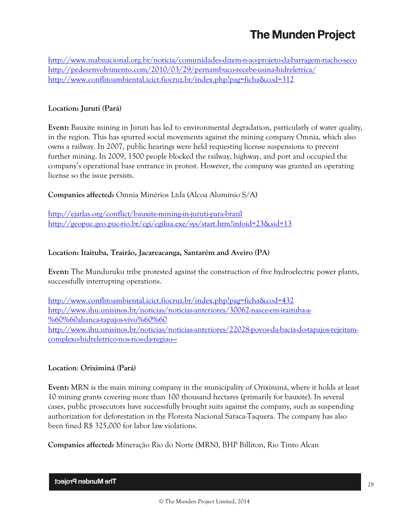<http://www.mabnacional.org.br/noticia/comunidades-dizem-n-ao-projeto-da-barragem-riacho-seco> <http://pedesenvolvimento.com/2010/03/29/pernambuco-recebe-usina-hidreletrica/> <http://www.conflitoambiental.icict.fiocruz.br/index.php?pag=ficha&cod=312>

## **Location: Juruti (Pará)**

**Event:** Bauxite mining in Juruti has led to environmental degradation, particularly of water quality, in the region. This has spurred social movements against the mining company Omnia, which also owns a railway. In 2007, public hearings were held requesting license suspensions to prevent further mining. In 2009, 1500 people blocked the railway, highway, and port and occupied the company's operational base entrance in protest. However, the company was granted an operating license so the issue persists.

## **Companies affected:** Omnia Minérios Ltda (Alcoa Alumínio S/A)

<http://ejatlas.org/conflict/bauxite-mining-in-juruti-para-brazil> <http://geopuc.geo.puc-rio.br/cgi/cgilua.exe/sys/start.htm?infoid=23&sid=13>

## **Location: Itaituba, Trairão, Jacareacanga, Santarém and Aveiro (PA)**

**Event:** The Munduruku tribe protested against the construction of five hydroelectric power plants, successfully interrupting operations.

<http://www.conflitoambiental.icict.fiocruz.br/index.php?pag=ficha&cod=432> [http://www.ihu.unisinos.br/noticias/noticias-anteriores/30062-nasce-em-itaituba-a-](http://www.ihu.unisinos.br/noticias/noticias-anteriores/30062-nasce-em-itaituba-a-%60%60alianca-tapajos-vivo%60%60) [%60%60alianca-tapajos-vivo%60%60](http://www.ihu.unisinos.br/noticias/noticias-anteriores/30062-nasce-em-itaituba-a-%60%60alianca-tapajos-vivo%60%60) [http://www.ihu.unisinos.br/noticias/noticias-anteriores/22028-povos-da-bacia-do-tapajos-rejeitam](http://www.ihu.unisinos.br/noticias/noticias-anteriores/22028-povos-da-bacia-do-tapajos-rejeitam-complexo-hidreletrico-nos-rios-da-regiao---)[complexo-hidreletrico-nos-rios-da-regiao---](http://www.ihu.unisinos.br/noticias/noticias-anteriores/22028-povos-da-bacia-do-tapajos-rejeitam-complexo-hidreletrico-nos-rios-da-regiao---)

## **Location**: **Oriximiná (Pará)**

**Event:** MRN is the main mining company in the municipality of Oriximiná, where it holds at least 10 mining grants covering more than 100 thousand hectares (primarily for bauxite). In several cases, public prosecutors have successfully brought suits against the company, such as suspending authorization for deforestation in the Floresta Nacional Saraca-Taquera. The company has also been fined R\$ 325,000 for labor law violations.

**Companies affected:** Mineração Rio do Norte (MRN), BHP Billiton, Rio Tinto Alcan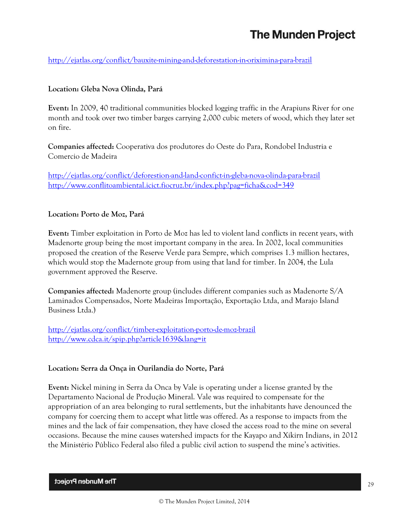<http://ejatlas.org/conflict/bauxite-mining-and-deforestation-in-oriximina-para-brazil>

## **Location: Gleba Nova Olinda, Pará**

**Event:** In 2009, 40 traditional communities blocked logging traffic in the Arapiuns River for one month and took over two timber barges carrying 2,000 cubic meters of wood, which they later set on fire.

**Companies affected:** Cooperativa dos produtores do Oeste do Para, Rondobel Industria e Comercio de Madeira

<http://ejatlas.org/conflict/deforestion-and-land-confict-in-gleba-nova-olinda-para-brazil> <http://www.conflitoambiental.icict.fiocruz.br/index.php?pag=ficha&cod=349>

## **Location: Porto de Moz, Pará**

**Event:** Timber exploitation in Porto de Moz has led to violent land conflicts in recent years, with Madenorte group being the most important company in the area. In 2002, local communities proposed the creation of the Reserve Verde para Sempre, which comprises 1.3 million hectares, which would stop the Madernote group from using that land for timber. In 2004, the Lula government approved the Reserve.

**Companies affected:** Madenorte group (includes different companies such as Madenorte S/A Laminados Compensados, Norte Madeiras Importação, Exportação Ltda, and Marajo Island Business Ltda.)

<http://ejatlas.org/conflict/timber-exploitation-porto-de-moz-brazil> <http://www.cdca.it/spip.php?article1639&lang=it>

## **Location: Serra da Onça in Ourilandia do Norte, Pará**

**Event:** Nickel mining in Serra da Onca by Vale is operating under a license granted by the Departamento Nacional de Produção Mineral. Vale was required to compensate for the appropriation of an area belonging to rural settlements, but the inhabitants have denounced the company for coercing them to accept what little was offered. As a response to impacts from the mines and the lack of fair compensation, they have closed the access road to the mine on several occasions. Because the mine causes watershed impacts for the Kayapo and Xikirn Indians, in 2012 the Ministério Público Federal also filed a public civil action to suspend the mine's activities.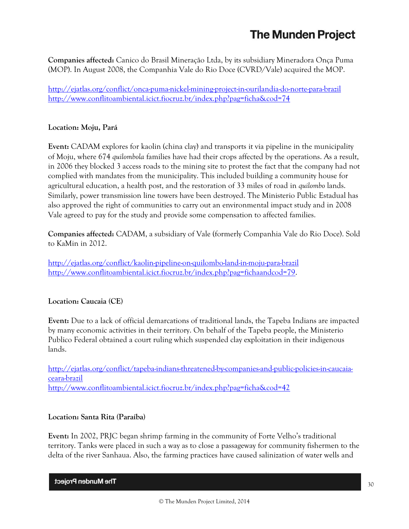**Companies affected:** Canico do Brasil Mineração Ltda, by its subsidiary Mineradora Onça Puma (MOP). In August 2008, the Companhia Vale do Rio Doce (CVRD/Vale) acquired the MOP.

<http://ejatlas.org/conflict/onca-puma-nickel-mining-project-in-ourilandia-do-norte-para-brazil> <http://www.conflitoambiental.icict.fiocruz.br/index.php?pag=ficha&cod=74>

## **Location: Moju, Pará**

**Event:** CADAM explores for kaolin (china clay) and transports it via pipeline in the municipality of Moju, where 674 *quilombola* families have had their crops affected by the operations. As a result, in 2006 they blocked 3 access roads to the mining site to protest the fact that the company had not complied with mandates from the municipality. This included building a community house for agricultural education, a health post, and the restoration of 33 miles of road in *quilombo* lands. Similarly, power transmission line towers have been destroyed. The Ministerio Public Estadual has also approved the right of communities to carry out an environmental impact study and in 2008 Vale agreed to pay for the study and provide some compensation to affected families.

**Companies affected:** CADAM, a subsidiary of Vale (formerly Companhia Vale do Rio Doce). Sold to KaMin in 2012.

<http://ejatlas.org/conflict/kaolin-pipeline-on-quilombo-land-in-moju-para-brazil> [http://www.conflitoambiental.icict.fiocruz.br/index.php?pag=fichaandcod=79.](http://www.conflitoambiental.icict.fiocruz.br/index.php?pag=fichaandcod=79)

## **Location: Caucaia (CE)**

**Event:** Due to a lack of official demarcations of traditional lands, the Tapeba Indians are impacted by many economic activities in their territory. On behalf of the Tapeba people, the Ministerio Publico Federal obtained a court ruling which suspended clay exploitation in their indigenous lands.

[http://ejatlas.org/conflict/tapeba-indians-threatened-by-companies-and-public-policies-in-caucaia](http://ejatlas.org/conflict/tapeba-indians-threatened-by-companies-and-public-policies-in-caucaia-ceara-brazil)[ceara-brazil](http://ejatlas.org/conflict/tapeba-indians-threatened-by-companies-and-public-policies-in-caucaia-ceara-brazil) <http://www.conflitoambiental.icict.fiocruz.br/index.php?pag=ficha&cod=42>

## **Location: Santa Rita (Paraíba)**

**Event:** In 2002, PRJC began shrimp farming in the community of Forte Velho's traditional territory. Tanks were placed in such a way as to close a passageway for community fishermen to the delta of the river Sanhaua. Also, the farming practices have caused salinization of water wells and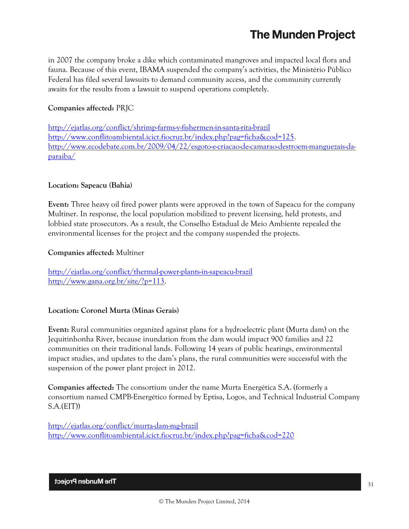in 2007 the company broke a dike which contaminated mangroves and impacted local flora and fauna. Because of this event, IBAMA suspended the company's activities, the Ministério Público Federal has filed several lawsuits to demand community access, and the community currently awaits for the results from a lawsuit to suspend operations completely.

## **Companies affected:** PRJC

<http://ejatlas.org/conflict/shrimp-farms-v-fishermen-in-santa-rita-brazil> [http://www.conflitoambiental.icict.fiocruz.br/index.php?pag=ficha&cod=125.](http://www.conflitoambiental.icict.fiocruz.br/index.php?pag=ficha&cod=125) [http://www.ecodebate.com.br/2009/04/22/esgoto-e-criacao-de-camarao-destroem-manguezais-da](http://www.ecodebate.com.br/2009/04/22/esgoto-e-criacao-de-camarao-destroem-manguezais-da-paraiba/)[paraiba/](http://www.ecodebate.com.br/2009/04/22/esgoto-e-criacao-de-camarao-destroem-manguezais-da-paraiba/)

## **Location: Sapeacu (Bahia)**

**Event:** Three heavy oil fired power plants were approved in the town of Sapeacu for the company Multiner. In response, the local population mobilized to prevent licensing, held protests, and lobbied state prosecutors. As a result, the Conselho Estadual de Meio Ambiente repealed the environmental licenses for the project and the company suspended the projects.

#### **Companies affected:** Multiner

<http://ejatlas.org/conflict/thermal-power-plants-in-sapeacu-brazil> [http://www.gana.org.br/site/?p=113.](http://www.gana.org.br/site/?p=113)

## **Location: Coronel Murta (Minas Gerais)**

**Event:** Rural communities organized against plans for a hydroelectric plant (Murta dam) on the Jequitinhonha River, because inundation from the dam would impact 900 families and 22 communities on their traditional lands. Following 14 years of public hearings, environmental impact studies, and updates to the dam's plans, the rural communities were successful with the suspension of the power plant project in 2012.

**Companies affected:** The consortium under the name Murta Energética S.A. (formerly a consortium named CMPB-Energético formed by Eptisa, Logos, and Technical Industrial Company S.A.(EIT))

<http://ejatlas.org/conflict/murta-dam-mg-brazil> <http://www.conflitoambiental.icict.fiocruz.br/index.php?pag=ficha&cod=220>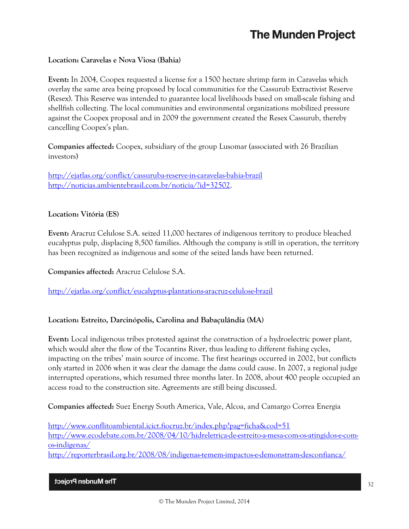### **Location: Caravelas e Nova Viosa (Bahia)**

**Event:** In 2004, Coopex requested a license for a 1500 hectare shrimp farm in Caravelas which overlay the same area being proposed by local communities for the Cassurub Extractivist Reserve (Resex). This Reserve was intended to guarantee local livelihoods based on small-scale fishing and shellfish collecting. The local communities and environmental organizations mobilized pressure against the Coopex proposal and in 2009 the government created the Resex Cassurub, thereby cancelling Coopex's plan.

**Companies affected:** Coopex, subsidiary of the group Lusomar (associated with 26 Brazilian investors)

<http://ejatlas.org/conflict/cassuruba-reserve-in-caravelas-bahia-brazil> [http://noticias.ambientebrasil.com.br/noticia/?id=32502.](http://noticias.ambientebrasil.com.br/noticia/?id=32502)

#### **Location: Vitória (ES)**

**Event:** Aracruz Celulose S.A. seized 11,000 hectares of indigenous territory to produce bleached eucalyptus pulp, displacing 8,500 families. Although the company is still in operation, the territory has been recognized as indigenous and some of the seized lands have been returned.

**Companies affected:** Aracruz Celulose S.A.

<http://ejatlas.org/conflict/eucalyptus-plantations-aracruz-celulose-brazil>

## **Location: Estreito, Darcinópolis, Carolina and Babaçulândia (MA)**

**Event:** Local indigenous tribes protested against the construction of a hydroelectric power plant, which would alter the flow of the Tocantins River, thus leading to different fishing cycles, impacting on the tribes' main source of income. The first hearings occurred in 2002, but conflicts only started in 2006 when it was clear the damage the dams could cause. In 2007, a regional judge interrupted operations, which resumed three months later. In 2008, about 400 people occupied an access road to the construction site. Agreements are still being discussed.

**Companies affected:** Suez Energy South America, Vale, Alcoa, and Camargo Correa Energia

<http://www.conflitoambiental.icict.fiocruz.br/index.php?pag=ficha&cod=51> [http://www.ecodebate.com.br/2008/04/10/hidreletrica-de-estreito-a-mesa-com-os-atingidos-e-com](http://www.ecodebate.com.br/2008/04/10/hidreletrica-de-estreito-a-mesa-com-os-atingidos-e-com-os-indigenas/)[os-indigenas/](http://www.ecodebate.com.br/2008/04/10/hidreletrica-de-estreito-a-mesa-com-os-atingidos-e-com-os-indigenas/) <http://reporterbrasil.org.br/2008/08/indigenas-temem-impactos-e-demonstram-desconfianca/>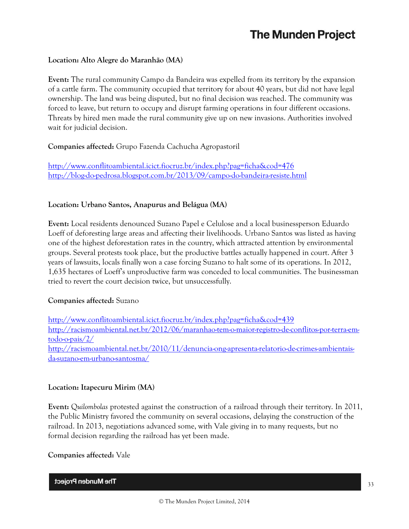## **Location: Alto Alegre do Maranhão (MA)**

**Event:** The rural community Campo da Bandeira was expelled from its territory by the expansion of a cattle farm. The community occupied that territory for about 40 years, but did not have legal ownership. The land was being disputed, but no final decision was reached. The community was forced to leave, but return to occupy and disrupt farming operations in four different occasions. Threats by hired men made the rural community give up on new invasions. Authorities involved wait for judicial decision.

#### **Companies affected:** Grupo Fazenda Cachucha Agropastoril

<http://www.conflitoambiental.icict.fiocruz.br/index.php?pag=ficha&cod=476> <http://blog-do-pedrosa.blogspot.com.br/2013/09/campo-do-bandeira-resiste.html>

#### **Location: Urbano Santos, Anapurus and Belágua (MA)**

**Event:** Local residents denounced Suzano Papel e Celulose and a local businessperson Eduardo Loeff of deforesting large areas and affecting their livelihoods. Urbano Santos was listed as having one of the highest deforestation rates in the country, which attracted attention by environmental groups. Several protests took place, but the productive battles actually happened in court. After 3 years of lawsuits, locals finally won a case forcing Suzano to halt some of its operations. In 2012, 1,635 hectares of Loeff's unproductive farm was conceded to local communities. The businessman tried to revert the court decision twice, but unsuccessfully.

#### **Companies affected:** Suzano

<http://www.conflitoambiental.icict.fiocruz.br/index.php?pag=ficha&cod=439> [http://racismoambiental.net.br/2012/06/maranhao-tem-o-maior-registro-de-conflitos-por-terra-em](http://racismoambiental.net.br/2012/06/maranhao-tem-o-maior-registro-de-conflitos-por-terra-em-todo-o-pais/2/)[todo-o-pais/2/](http://racismoambiental.net.br/2012/06/maranhao-tem-o-maior-registro-de-conflitos-por-terra-em-todo-o-pais/2/) [http://racismoambiental.net.br/2010/11/denuncia-ong-apresenta-relatorio-de-crimes-ambientais](http://racismoambiental.net.br/2010/11/denuncia-ong-apresenta-relatorio-de-crimes-ambientais-da-suzano-em-urbano-santosma/)[da-suzano-em-urbano-santosma/](http://racismoambiental.net.br/2010/11/denuncia-ong-apresenta-relatorio-de-crimes-ambientais-da-suzano-em-urbano-santosma/)

#### **Location: Itapecuru Mirim (MA)**

**Event:** Q*uilombolas* protested against the construction of a railroad through their territory. In 2011, the Public Ministry favored the community on several occasions, delaying the construction of the railroad. In 2013, negotiations advanced some, with Vale giving in to many requests, but no formal decision regarding the railroad has yet been made.

#### **Companies affected:** Vale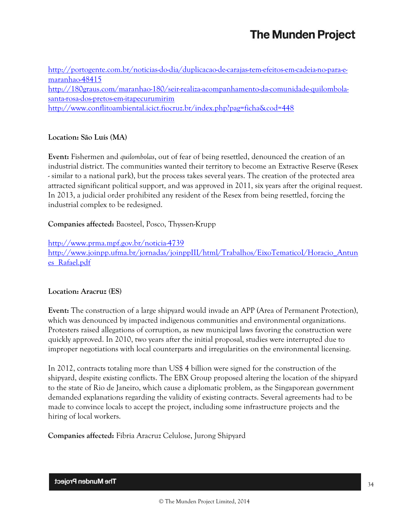[http://portogente.com.br/noticias-do-dia/duplicacao-de-carajas-tem-efeitos-em-cadeia-no-para-e](http://portogente.com.br/noticias-do-dia/duplicacao-de-carajas-tem-efeitos-em-cadeia-no-para-e-maranhao-48415)[maranhao-48415](http://portogente.com.br/noticias-do-dia/duplicacao-de-carajas-tem-efeitos-em-cadeia-no-para-e-maranhao-48415) [http://180graus.com/maranhao-180/seir-realiza-acompanhamento-da-comunidade-quilombola](http://180graus.com/maranhao-180/seir-realiza-acompanhamento-da-comunidade-quilombola-santa-rosa-dos-pretos-em-itapecurumirim)[santa-rosa-dos-pretos-em-itapecurumirim](http://180graus.com/maranhao-180/seir-realiza-acompanhamento-da-comunidade-quilombola-santa-rosa-dos-pretos-em-itapecurumirim) <http://www.conflitoambiental.icict.fiocruz.br/index.php?pag=ficha&cod=448>

## **Location: São Luís (MA)**

**Event:** Fishermen and *quilombolas*, out of fear of being resettled, denounced the creation of an industrial district. The communities wanted their territory to become an Extractive Reserve (Resex - similar to a national park), but the process takes several years. The creation of the protected area attracted significant political support, and was approved in 2011, six years after the original request. In 2013, a judicial order prohibited any resident of the Resex from being resettled, forcing the industrial complex to be redesigned.

**Companies affected:** Baosteel, Posco, Thyssen-Krupp

<http://www.prma.mpf.gov.br/noticia-4739> [http://www.joinpp.ufma.br/jornadas/joinppIII/html/Trabalhos/EixoTematicoI/Horacio\\_Antun](http://www.joinpp.ufma.br/jornadas/joinppIII/html/Trabalhos/EixoTematicoI/Horacio_Antunes_Rafael.pdf) [es\\_Rafael.pdf](http://www.joinpp.ufma.br/jornadas/joinppIII/html/Trabalhos/EixoTematicoI/Horacio_Antunes_Rafael.pdf)

## **Location: Aracruz (ES)**

**Event:** The construction of a large shipyard would invade an APP (Area of Permanent Protection), which was denounced by impacted indigenous communities and environmental organizations. Protesters raised allegations of corruption, as new municipal laws favoring the construction were quickly approved. In 2010, two years after the initial proposal, studies were interrupted due to improper negotiations with local counterparts and irregularities on the environmental licensing.

In 2012, contracts totaling more than US\$ 4 billion were signed for the construction of the shipyard, despite existing conflicts. The EBX Group proposed altering the location of the shipyard to the state of Rio de Janeiro, which cause a diplomatic problem, as the Singaporean government demanded explanations regarding the validity of existing contracts. Several agreements had to be made to convince locals to accept the project, including some infrastructure projects and the hiring of local workers.

**Companies affected:** Fibria Aracruz Celulose, Jurong Shipyard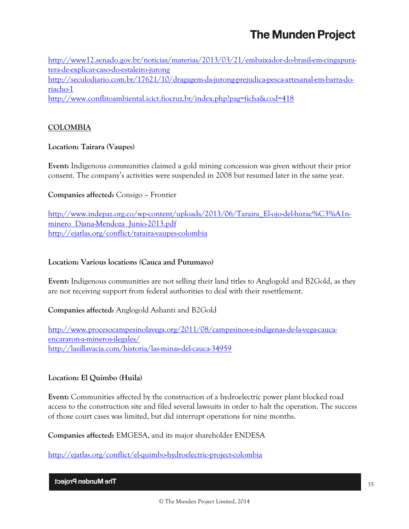[http://www12.senado.gov.br/noticias/materias/2013/03/21/embaixador-do-brasil-em-cingapura](http://www12.senado.gov.br/noticias/materias/2013/03/21/embaixador-do-brasil-em-cingapura-tera-de-explicar-caso-do-estaleiro-jurong)[tera-de-explicar-caso-do-estaleiro-jurong](http://www12.senado.gov.br/noticias/materias/2013/03/21/embaixador-do-brasil-em-cingapura-tera-de-explicar-caso-do-estaleiro-jurong) [http://seculodiario.com.br/17621/10/dragagem-da-jurong-prejudica-pesca-artesanal-em-barra-do](http://seculodiario.com.br/17621/10/dragagem-da-jurong-prejudica-pesca-artesanal-em-barra-do-riacho-1)[riacho-1](http://seculodiario.com.br/17621/10/dragagem-da-jurong-prejudica-pesca-artesanal-em-barra-do-riacho-1) <http://www.conflitoambiental.icict.fiocruz.br/index.php?pag=ficha&cod=418>

## **COLOMBIA**

## **Location: Tairara (Vaupes)**

**Event:** Indigenous communities claimed a gold mining concession was given without their prior consent. The company's activities were suspended in 2008 but resumed later in the same year.

## **Companies affected:** Consigo – Frontier

[http://www.indepaz.org.co/wp-content/uploads/2013/06/Taraira\\_El-ojo-del-hurac%C3%A1n](http://www.indepaz.org.co/wp-content/uploads/2013/06/Taraira_El-ojo-del-hurac%C3%A1n-minero_Diana-Mendoza_Junio-2013.pdf)minero Diana-Mendoza Junio-2013.pdf <http://ejatlas.org/conflict/taraira-vaupes-colombia>

### **Location: Various locations (Cauca and Putumayo)**

**Event:** Indigenous communities are not selling their land titles to Anglogold and B2Gold, as they are not receiving support from federal authorities to deal with their resettlement.

## **Companies affected:** Anglogold Ashanti and B2Gold

[http://www.procesocampesinolavega.org/2011/08/campesinos-e-indigenas-de-la-vega-cauca](http://www.procesocampesinolavega.org/2011/08/campesinos-e-indigenas-de-la-vega-cauca-encararon-a-mineros-ilegales/)[encararon-a-mineros-ilegales/](http://www.procesocampesinolavega.org/2011/08/campesinos-e-indigenas-de-la-vega-cauca-encararon-a-mineros-ilegales/) <http://lasillavacia.com/historia/las-minas-del-cauca-34959>

## **Location: El Quimbo (Huila)**

**Event:** Communities affected by the construction of a hydroelectric power plant blocked road access to the construction site and filed several lawsuits in order to halt the operation. The success of those court cases was limited, but did interrupt operations for nine months.

**Companies affected:** EMGESA, and its major shareholder ENDESA

<http://ejatlas.org/conflict/el-quimbo-hydroelectric-project-colombia>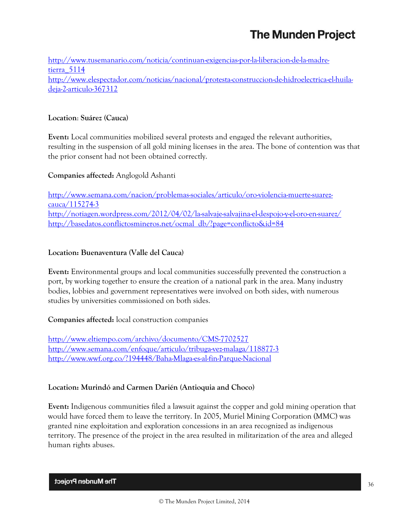[http://www.tusemanario.com/noticia/continuan-exigencias-por-la-liberacion-de-la-madre](http://www.tusemanario.com/noticia/continuan-exigencias-por-la-liberacion-de-la-madre-tierra_5114)[tierra\\_5114](http://www.tusemanario.com/noticia/continuan-exigencias-por-la-liberacion-de-la-madre-tierra_5114) [http://www.elespectador.com/noticias/nacional/protesta-construccion-de-hidroelectrica-el-huila](http://www.elespectador.com/noticias/nacional/protesta-construccion-de-hidroelectrica-el-huila-deja-2-articulo-367312)[deja-2-articulo-367312](http://www.elespectador.com/noticias/nacional/protesta-construccion-de-hidroelectrica-el-huila-deja-2-articulo-367312)

### **Location**: **Suárez (Cauca)**

**Event:** Local communities mobilized several protests and engaged the relevant authorities, resulting in the suspension of all gold mining licenses in the area. The bone of contention was that the prior consent had not been obtained correctly.

#### **Companies affected:** Anglogold Ashanti

[http://www.semana.com/nacion/problemas-sociales/articulo/oro-violencia-muerte-suarez](http://www.semana.com/nacion/problemas-sociales/articulo/oro-violencia-muerte-suarez-cauca/115274-3)[cauca/115274-3](http://www.semana.com/nacion/problemas-sociales/articulo/oro-violencia-muerte-suarez-cauca/115274-3) <http://notiagen.wordpress.com/2012/04/02/la-salvaje-salvajina-el-despojo-y-el-oro-en-suarez/> [http://basedatos.conflictosmineros.net/ocmal\\_db/?page=conflicto&id=84](http://basedatos.conflictosmineros.net/ocmal_db/?page=conflicto&id=84)

## **Location: Buenaventura (Valle del Cauca)**

**Event:** Environmental groups and local communities successfully prevented the construction a port, by working together to ensure the creation of a national park in the area. Many industry bodies, lobbies and government representatives were involved on both sides, with numerous studies by universities commissioned on both sides.

**Companies affected:** local construction companies

<http://www.eltiempo.com/archivo/documento/CMS-7702527> <http://www.semana.com/enfoque/articulo/tribuga-vez-malaga/118877-3> <http://www.wwf.org.co/?194448/Baha-Mlaga-es-al-fin-Parque-Nacional>

#### **Location: Murindó and Carmen Darién (Antioquia and Choco)**

**Event:** Indigenous communities filed a lawsuit against the copper and gold mining operation that would have forced them to leave the territory. In 2005, Muriel Mining Corporation (MMC) was granted nine exploitation and exploration concessions in an area recognized as indigenous territory. The presence of the project in the area resulted in militarization of the area and alleged human rights abuses.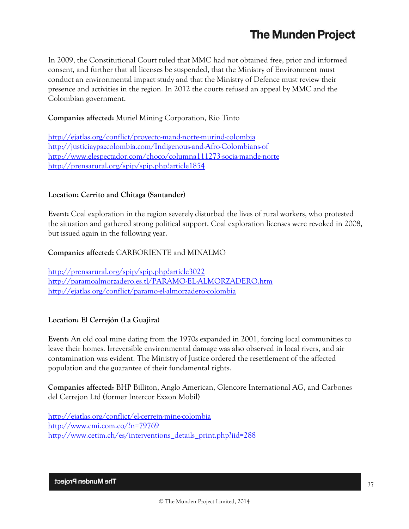In 2009, the Constitutional Court ruled that MMC had not obtained free, prior and informed consent, and further that all licenses be suspended, that the Ministry of Environment must conduct an environmental impact study and that the Ministry of Defence must review their presence and activities in the region. In 2012 the courts refused an appeal by MMC and the Colombian government.

## **Companies affected:** Muriel Mining Corporation, Rio Tinto

<http://ejatlas.org/conflict/proyecto-mand-norte-murind-colombia> <http://justiciaypazcolombia.com/Indigenous-and-Afro-Colombians-of> <http://www.elespectador.com/choco/columna111273-socia-mande-norte> <http://prensarural.org/spip/spip.php?article1854>

## **Location: Cerrito and Chitaga (Santander)**

**Event:** Coal exploration in the region severely disturbed the lives of rural workers, who protested the situation and gathered strong political support. Coal exploration licenses were revoked in 2008, but issued again in the following year.

## **Companies affected:** CARBORIENTE and MINALMO

<http://prensarural.org/spip/spip.php?article3022> <http://paramoalmorzadero.es.tl/PARAMO-EL-ALMORZADERO.htm> <http://ejatlas.org/conflict/paramo-el-almorzadero-colombia>

## **Location: El Cerrejón (La Guajira)**

**Event:** An old coal mine dating from the 1970s expanded in 2001, forcing local communities to leave their homes. Irreversible environmental damage was also observed in local rivers, and air contamination was evident. The Ministry of Justice ordered the resettlement of the affected population and the guarantee of their fundamental rights.

**Companies affected:** BHP Billiton, Anglo American, Glencore International AG, and Carbones del Cerrejon Ltd (former Intercor Exxon Mobil)

<http://ejatlas.org/conflict/el-cerrejn-mine-colombia> <http://www.cmi.com.co/?n=79769> [http://www.cetim.ch/es/interventions\\_details\\_print.php?iid=288](http://www.cetim.ch/es/interventions_details_print.php?iid=288)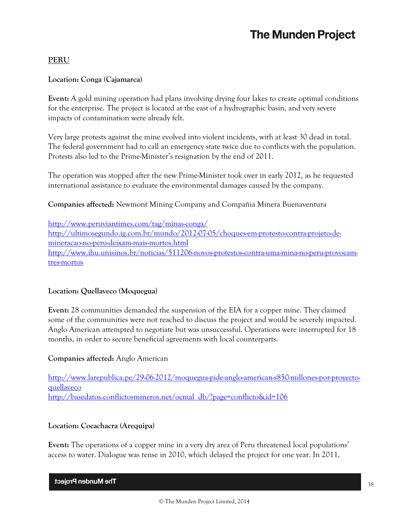## **PERU**

### **Location: Conga (Cajamarca)**

**Event:** A gold mining operation had plans involving drying four lakes to create optimal conditions for the enterprise. The project is located at the east of a hydrographic basin, and very severe impacts of contamination were already felt.

Very large protests against the mine evolved into violent incidents, with at least 30 dead in total. The federal government had to call an emergency state twice due to conflicts with the population. Protests also led to the Prime-Minister's resignation by the end of 2011.

The operation was stopped after the new Prime-Minister took over in early 2012, as he requested international assistance to evaluate the environmental damages caused by the company.

**Companies affected:** Newmont Mining Company and Compañia Minera Buenaventura

<http://www.peruviantimes.com/tag/minas-conga/> [http://ultimosegundo.ig.com.br/mundo/2012-07-05/choques-em-protesto-contra-projeto-de](http://ultimosegundo.ig.com.br/mundo/2012-07-05/choques-em-protesto-contra-projeto-de-mineracao-no-peru-deixam-mais-mortos.html)[mineracao-no-peru-deixam-mais-mortos.html](http://ultimosegundo.ig.com.br/mundo/2012-07-05/choques-em-protesto-contra-projeto-de-mineracao-no-peru-deixam-mais-mortos.html) [http://www.ihu.unisinos.br/noticias/511206-novos-protestos-contra-uma-mina-no-peru-provocam](http://www.ihu.unisinos.br/noticias/511206-novos-protestos-contra-uma-mina-no-peru-provocam-tres-mortos)[tres-mortos](http://www.ihu.unisinos.br/noticias/511206-novos-protestos-contra-uma-mina-no-peru-provocam-tres-mortos)

#### **Location: Quellaveco (Moquegua)**

**Event:** 28 communities demanded the suspension of the EIA for a copper mine. They claimed some of the communities were not reached to discuss the project and would be severely impacted. Anglo American attempted to negotiate but was unsuccessful. Operations were interrupted for 18 months, in order to secure beneficial agreements with local counterparts.

#### **Companies affected:** Anglo American

[http://www.larepublica.pe/29-06-2012/moquegua-pide-anglo-american-s850-millones-por-proyecto](http://www.larepublica.pe/29-06-2012/moquegua-pide-anglo-american-s850-millones-por-proyecto-quellaveco)[quellaveco](http://www.larepublica.pe/29-06-2012/moquegua-pide-anglo-american-s850-millones-por-proyecto-quellaveco) [http://basedatos.conflictosmineros.net/ocmal\\_db/?page=conflicto&id=106](http://basedatos.conflictosmineros.net/ocmal_db/?page=conflicto&id=106)

#### **Location: Cocachacra (Arequipa)**

**Event:** The operations of a copper mine in a very dry area of Peru threatened local populations' access to water. Dialogue was tense in 2010, which delayed the project for one year. In 2011,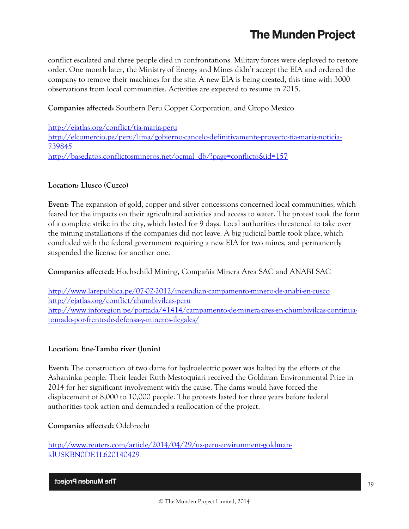conflict escalated and three people died in confrontations. Military forces were deployed to restore order. One month later, the Ministry of Energy and Mines didn't accept the EIA and ordered the company to remove their machines for the site. A new EIA is being created, this time with 3000 observations from local communities. Activities are expected to resume in 2015.

## **Companies affected:** Southern Peru Copper Corporation, and Gropo Mexico

<http://ejatlas.org/conflict/tia-maria-peru> [http://elcomercio.pe/peru/lima/gobierno-cancelo-definitivamente-proyecto-tia-maria-noticia-](http://elcomercio.pe/peru/lima/gobierno-cancelo-definitivamente-proyecto-tia-maria-noticia-739845)[739845](http://elcomercio.pe/peru/lima/gobierno-cancelo-definitivamente-proyecto-tia-maria-noticia-739845) [http://basedatos.conflictosmineros.net/ocmal\\_db/?page=conflicto&id=157](http://basedatos.conflictosmineros.net/ocmal_db/?page=conflicto&id=157)

## **Location: Llusco (Cuzco)**

**Event:** The expansion of gold, copper and silver concessions concerned local communities, which feared for the impacts on their agricultural activities and access to water. The protest took the form of a complete strike in the city, which lasted for 9 days. Local authorities threatened to take over the mining installations if the companies did not leave. A big judicial battle took place, which concluded with the federal government requiring a new EIA for two mines, and permanently suspended the license for another one.

## **Companies affected:** Hochschild Mining, Compañia Minera Area SAC and ANABI SAC

<http://www.larepublica.pe/07-02-2012/incendian-campamento-minero-de-anabi-en-cusco> <http://ejatlas.org/conflict/chumbivilcas-peru> [http://www.inforegion.pe/portada/41414/campamento-de-minera-ares-en-chumbivilcas-continua](http://www.inforegion.pe/portada/41414/campamento-de-minera-ares-en-chumbivilcas-continua-tomado-por-frente-de-defensa-y-mineros-ilegales/)[tomado-por-frente-de-defensa-y-mineros-ilegales/](http://www.inforegion.pe/portada/41414/campamento-de-minera-ares-en-chumbivilcas-continua-tomado-por-frente-de-defensa-y-mineros-ilegales/)

## **Location: Ene-Tambo river (Junin)**

**Event:** The construction of two dams for hydroelectric power was halted by the efforts of the Ashaninka people. Their leader Ruth Mestoquiari received the Goldman Environmental Prize in 2014 for her significant involvement with the cause. The dams would have forced the displacement of 8,000 to 10,000 people. The protests lasted for three years before federal authorities took action and demanded a reallocation of the project.

## **Companies affected:** Odebrecht

[http://www.reuters.com/article/2014/04/29/us-peru-environment-goldman](http://www.reuters.com/article/2014/04/29/us-peru-environment-goldman-idUSKBN0DE1L620140429)[idUSKBN0DE1L620140429](http://www.reuters.com/article/2014/04/29/us-peru-environment-goldman-idUSKBN0DE1L620140429)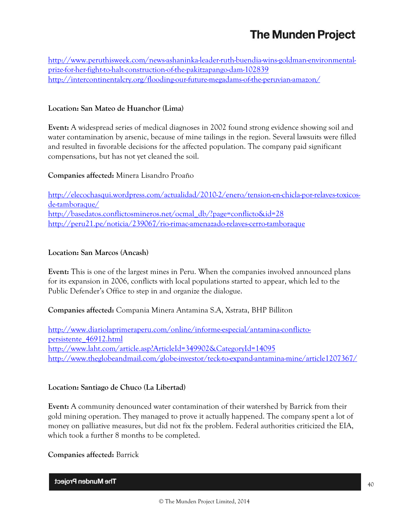[http://www.peruthisweek.com/news-ashaninka-leader-ruth-buendia-wins-goldman-environmental](http://www.peruthisweek.com/news-ashaninka-leader-ruth-buendia-wins-goldman-environmental-prize-for-her-fight-to-halt-construction-of-the-pakitzapango-dam-102839)[prize-for-her-fight-to-halt-construction-of-the-pakitzapango-dam-102839](http://www.peruthisweek.com/news-ashaninka-leader-ruth-buendia-wins-goldman-environmental-prize-for-her-fight-to-halt-construction-of-the-pakitzapango-dam-102839) <http://intercontinentalcry.org/flooding-our-future-megadams-of-the-peruvian-amazon/>

## **Location: San Mateo de Huanchor (Lima)**

**Event:** A widespread series of medical diagnoses in 2002 found strong evidence showing soil and water contamination by arsenic, because of mine tailings in the region. Several lawsuits were filled and resulted in favorable decisions for the affected population. The company paid significant compensations, but has not yet cleaned the soil.

#### **Companies affected:** Minera Lisandro Proaño

[http://elecochasqui.wordpress.com/actualidad/2010-2/enero/tension-en-chicla-por-relaves-toxicos](http://elecochasqui.wordpress.com/actualidad/2010-2/enero/tension-en-chicla-por-relaves-toxicos-de-tamboraque/)[de-tamboraque/](http://elecochasqui.wordpress.com/actualidad/2010-2/enero/tension-en-chicla-por-relaves-toxicos-de-tamboraque/) [http://basedatos.conflictosmineros.net/ocmal\\_db/?page=conflicto&id=28](http://basedatos.conflictosmineros.net/ocmal_db/?page=conflicto&id=28) <http://peru21.pe/noticia/239067/rio-rimac-amenazado-relaves-cerro-tamboraque>

#### **Location: San Marcos (Ancash)**

**Event:** This is one of the largest mines in Peru. When the companies involved announced plans for its expansion in 2006, conflicts with local populations started to appear, which led to the Public Defender's Office to step in and organize the dialogue.

#### **Companies affected:** Compania Minera Antamina S.A, Xstrata, BHP Billiton

[http://www.diariolaprimeraperu.com/online/informe-especial/antamina-conflicto](http://www.diariolaprimeraperu.com/online/informe-especial/antamina-conflicto-persistente_46912.html)[persistente\\_46912.html](http://www.diariolaprimeraperu.com/online/informe-especial/antamina-conflicto-persistente_46912.html) <http://www.laht.com/article.asp?ArticleId=349902&CategoryId=14095> <http://www.theglobeandmail.com/globe-investor/teck-to-expand-antamina-mine/article1207367/>

#### **Location: Santiago de Chuco (La Libertad)**

**Event:** A community denounced water contamination of their watershed by Barrick from their gold mining operation. They managed to prove it actually happened. The company spent a lot of money on palliative measures, but did not fix the problem. Federal authorities criticized the EIA, which took a further 8 months to be completed.

#### **Companies affected:** Barrick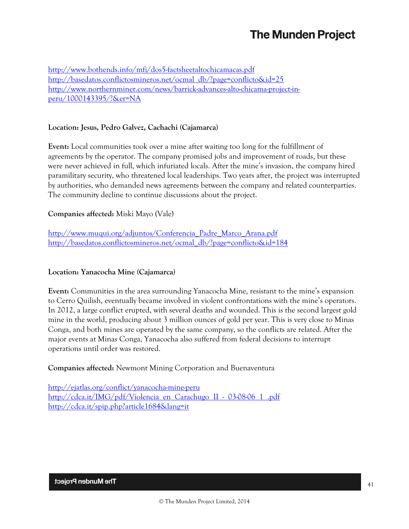<http://www.bothends.info/mfi/dos5-factsheetaltochicamacas.pdf> [http://basedatos.conflictosmineros.net/ocmal\\_db/?page=conflicto&id=25](http://basedatos.conflictosmineros.net/ocmal_db/?page=conflicto&id=25) [http://www.northernminer.com/news/barrick-advances-alto-chicama-project-in](http://www.northernminer.com/news/barrick-advances-alto-chicama-project-in-peru/1000143395/?&er=NA)[peru/1000143395/?&er=NA](http://www.northernminer.com/news/barrick-advances-alto-chicama-project-in-peru/1000143395/?&er=NA)

### **Location: Jesus, Pedro Galvez, Cachachi (Cajamarca)**

**Event:** Local communities took over a mine after waiting too long for the fulfillment of agreements by the operator. The company promised jobs and improvement of roads, but these were never achieved in full, which infuriated locals. After the mine's invasion, the company hired paramilitary security, who threatened local leaderships. Two years after, the project was interrupted by authorities, who demanded news agreements between the company and related counterparties. The community decline to continue discussions about the project.

#### **Companies affected:** Miski Mayo (Vale)

[http://www.muqui.org/adjuntos/Conferencia\\_Padre\\_Marco\\_Arana.pdf](http://www.muqui.org/adjuntos/Conferencia_Padre_Marco_Arana.pdf) [http://basedatos.conflictosmineros.net/ocmal\\_db/?page=conflicto&id=184](http://basedatos.conflictosmineros.net/ocmal_db/?page=conflicto&id=184)

#### **Location: Yanacocha Mine (Cajamarca)**

**Event:** Communities in the area surrounding Yanacocha Mine, resistant to the mine's expansion to Cerro Quilish, eventually became involved in violent confrontations with the mine's operators. In 2012, a large conflict erupted, with several deaths and wounded. This is the second largest gold mine in the world, producing about 3 million ounces of gold per year. This is very close to Minas Conga, and both mines are operated by the same company, so the conflicts are related. After the major events at Minas Conga, Yanacocha also suffered from federal decisions to interrupt operations until order was restored.

**Companies affected:** Newmont Mining Corporation and Buenaventura

<http://ejatlas.org/conflict/yanacocha-mine-peru> [http://cdca.it/IMG/pdf/Violencia\\_en\\_Carachugo\\_II\\_-\\_03-08-06\\_1\\_.pdf](http://cdca.it/IMG/pdf/Violencia_en_Carachugo_II_-_03-08-06_1_.pdf) <http://cdca.it/spip.php?article1684&lang=it>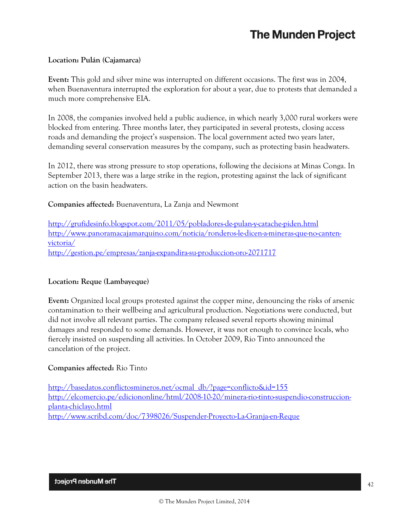#### **Location: Pulán (Cajamarca)**

**Event:** This gold and silver mine was interrupted on different occasions. The first was in 2004, when Buenaventura interrupted the exploration for about a year, due to protests that demanded a much more comprehensive EIA.

In 2008, the companies involved held a public audience, in which nearly 3,000 rural workers were blocked from entering. Three months later, they participated in several protests, closing access roads and demanding the project's suspension. The local government acted two years later, demanding several conservation measures by the company, such as protecting basin headwaters.

In 2012, there was strong pressure to stop operations, following the decisions at Minas Conga. In September 2013, there was a large strike in the region, protesting against the lack of significant action on the basin headwaters.

## **Companies affected:** Buenaventura, La Zanja and Newmont

<http://grufidesinfo.blogspot.com/2011/05/pobladores-de-pulan-y-catache-piden.html> [http://www.panoramacajamarquino.com/noticia/ronderos-le-dicen-a-mineras-que-no-canten](http://www.panoramacajamarquino.com/noticia/ronderos-le-dicen-a-mineras-que-no-canten-victoria/)[victoria/](http://www.panoramacajamarquino.com/noticia/ronderos-le-dicen-a-mineras-que-no-canten-victoria/) <http://gestion.pe/empresas/zanja-expandira-su-produccion-oro-2071717>

## **Location: Reque (Lambayeque)**

**Event:** Organized local groups protested against the copper mine, denouncing the risks of arsenic contamination to their wellbeing and agricultural production. Negotiations were conducted, but did not involve all relevant parties. The company released several reports showing minimal damages and responded to some demands. However, it was not enough to convince locals, who fiercely insisted on suspending all activities. In October 2009, Rio Tinto announced the cancelation of the project.

## **Companies affected:** Rio Tinto

[http://basedatos.conflictosmineros.net/ocmal\\_db/?page=conflicto&id=155](http://basedatos.conflictosmineros.net/ocmal_db/?page=conflicto&id=155) [http://elcomercio.pe/ediciononline/html/2008-10-20/minera-rio-tinto-suspendio-construccion](http://elcomercio.pe/ediciononline/html/2008-10-20/minera-rio-tinto-suspendio-construccion-planta-chiclayo.html)[planta-chiclayo.html](http://elcomercio.pe/ediciononline/html/2008-10-20/minera-rio-tinto-suspendio-construccion-planta-chiclayo.html) <http://www.scribd.com/doc/7398026/Suspender-Proyecto-La-Granja-en-Reque>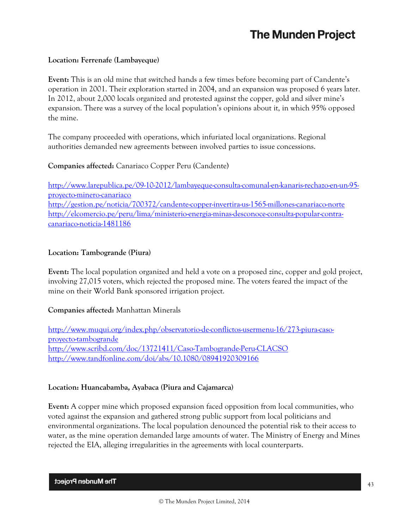### **Location: Ferrenafe (Lambayeque)**

**Event:** This is an old mine that switched hands a few times before becoming part of Candente's operation in 2001. Their exploration started in 2004, and an expansion was proposed 6 years later. In 2012, about 2,000 locals organized and protested against the copper, gold and silver mine's expansion. There was a survey of the local population's opinions about it, in which 95% opposed the mine.

The company proceeded with operations, which infuriated local organizations. Regional authorities demanded new agreements between involved parties to issue concessions.

## **Companies affected:** Canariaco Copper Peru (Candente)

[http://www.larepublica.pe/09-10-2012/lambayeque-consulta-comunal-en-kanaris-rechazo-en-un-95](http://www.larepublica.pe/09-10-2012/lambayeque-consulta-comunal-en-kanaris-rechazo-en-un-95-proyecto-minero-canariaco) [proyecto-minero-canariaco](http://www.larepublica.pe/09-10-2012/lambayeque-consulta-comunal-en-kanaris-rechazo-en-un-95-proyecto-minero-canariaco) <http://gestion.pe/noticia/700372/candente-copper-invertira-us-1565-millones-canariaco-norte> [http://elcomercio.pe/peru/lima/ministerio-energia-minas-desconoce-consulta-popular-contra](http://elcomercio.pe/peru/lima/ministerio-energia-minas-desconoce-consulta-popular-contra-canariaco-noticia-1481186)[canariaco-noticia-1481186](http://elcomercio.pe/peru/lima/ministerio-energia-minas-desconoce-consulta-popular-contra-canariaco-noticia-1481186)

#### **Location: Tambogrande (Piura)**

**Event:** The local population organized and held a vote on a proposed zinc, copper and gold project, involving 27,015 voters, which rejected the proposed mine. The voters feared the impact of the mine on their World Bank sponsored irrigation project.

## **Companies affected:** Manhattan Minerals

[http://www.muqui.org/index.php/observatorio-de-conflictos-usermenu-16/273-piura-caso](http://www.muqui.org/index.php/observatorio-de-conflictos-usermenu-16/273-piura-caso-proyecto-tambogrande)[proyecto-tambogrande](http://www.muqui.org/index.php/observatorio-de-conflictos-usermenu-16/273-piura-caso-proyecto-tambogrande) <http://www.scribd.com/doc/13721411/Caso-Tambogrande-Peru-CLACSO> <http://www.tandfonline.com/doi/abs/10.1080/08941920309166>

#### **Location: Huancabamba, Ayabaca (Piura and Cajamarca)**

**Event:** A copper mine which proposed expansion faced opposition from local communities, who voted against the expansion and gathered strong public support from local politicians and environmental organizations. The local population denounced the potential risk to their access to water, as the mine operation demanded large amounts of water. The Ministry of Energy and Mines rejected the EIA, alleging irregularities in the agreements with local counterparts.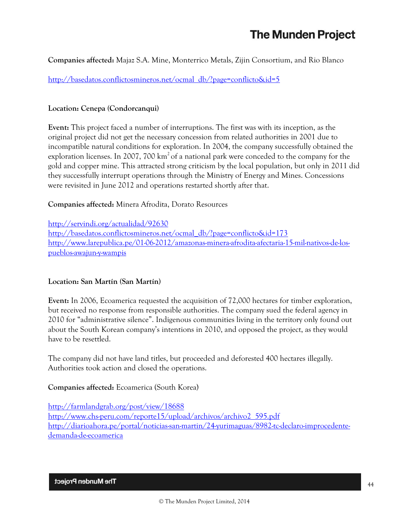**Companies affected:** Majaz S.A. Mine, Monterrico Metals, Zijin Consortium, and Rio Blanco

[http://basedatos.conflictosmineros.net/ocmal\\_db/?page=conflicto&id=5](http://basedatos.conflictosmineros.net/ocmal_db/?page=conflicto&id=5)

## **Location: Cenepa (Condorcanqui)**

**Event:** This project faced a number of interruptions. The first was with its inception, as the original project did not get the necessary concession from related authorities in 2001 due to incompatible natural conditions for exploration. In 2004, the company successfully obtained the exploration licenses. In 2007, 700  $km^2$  of a national park were conceded to the company for the gold and copper mine. This attracted strong criticism by the local population, but only in 2011 did they successfully interrupt operations through the Ministry of Energy and Mines. Concessions were revisited in June 2012 and operations restarted shortly after that.

## **Companies affected:** Minera Afrodita, Dorato Resources

<http://servindi.org/actualidad/92630> [http://basedatos.conflictosmineros.net/ocmal\\_db/?page=conflicto&id=173](http://basedatos.conflictosmineros.net/ocmal_db/?page=conflicto&id=173) [http://www.larepublica.pe/01-06-2012/amazonas-minera-afrodita-afectaria-15-mil-nativos-de-los](http://www.larepublica.pe/01-06-2012/amazonas-minera-afrodita-afectaria-15-mil-nativos-de-los-pueblos-awajun-y-wampis)[pueblos-awajun-y-wampis](http://www.larepublica.pe/01-06-2012/amazonas-minera-afrodita-afectaria-15-mil-nativos-de-los-pueblos-awajun-y-wampis)

## **Location: San Martín (San Martín)**

**Event:** In 2006, Ecoamerica requested the acquisition of 72,000 hectares for timber exploration, but received no response from responsible authorities. The company sued the federal agency in 2010 for "administrative silence". Indigenous communities living in the territory only found out about the South Korean company's intentions in 2010, and opposed the project, as they would have to be resettled.

The company did not have land titles, but proceeded and deforested 400 hectares illegally. Authorities took action and closed the operations.

## **Companies affected:** Ecoamerica (South Korea)

<http://farmlandgrab.org/post/view/18688> [http://www.chs-peru.com/reporte15/upload/archivos/archivo2\\_595.pdf](http://www.chs-peru.com/reporte15/upload/archivos/archivo2_595.pdf) [http://diarioahora.pe/portal/noticias-san-martin/24-yurimaguas/8982-tc-declaro-improcedente](http://diarioahora.pe/portal/noticias-san-martin/24-yurimaguas/8982-tc-declaro-improcedente-demanda-de-ecoamerica)[demanda-de-ecoamerica](http://diarioahora.pe/portal/noticias-san-martin/24-yurimaguas/8982-tc-declaro-improcedente-demanda-de-ecoamerica)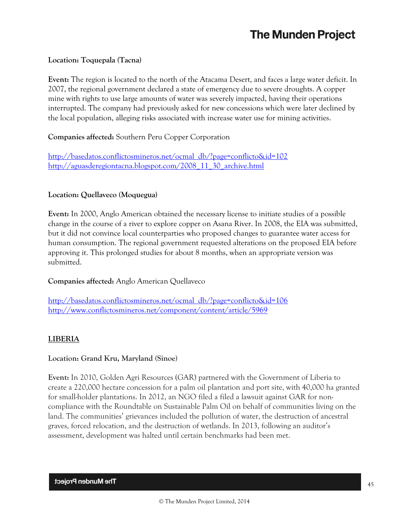#### **Location: Toquepala (Tacna)**

**Event:** The region is located to the north of the Atacama Desert, and faces a large water deficit. In 2007, the regional government declared a state of emergency due to severe droughts. A copper mine with rights to use large amounts of water was severely impacted, having their operations interrupted. The company had previously asked for new concessions which were later declined by the local population, alleging risks associated with increase water use for mining activities.

#### **Companies affected:** Southern Peru Copper Corporation

[http://basedatos.conflictosmineros.net/ocmal\\_db/?page=conflicto&id=102](http://basedatos.conflictosmineros.net/ocmal_db/?page=conflicto&id=102) [http://aguasderegiontacna.blogspot.com/2008\\_11\\_30\\_archive.html](http://aguasderegiontacna.blogspot.com/2008_11_30_archive.html)

#### **Location: Quellaveco (Moquegua)**

**Event:** In 2000, Anglo American obtained the necessary license to initiate studies of a possible change in the course of a river to explore copper on Asana River. In 2008, the EIA was submitted, but it did not convince local counterparties who proposed changes to guarantee water access for human consumption. The regional government requested alterations on the proposed EIA before approving it. This prolonged studies for about 8 months, when an appropriate version was submitted.

## **Companies affected:** Anglo American Quellaveco

[http://basedatos.conflictosmineros.net/ocmal\\_db/?page=conflicto&id=106](http://basedatos.conflictosmineros.net/ocmal_db/?page=conflicto&id=106) <http://www.conflictosmineros.net/component/content/article/5969>

## **LIBERIA**

#### **Location: Grand Kru, Maryland (Sinoe)**

**Event:** In 2010, Golden Agri Resources (GAR) partnered with the Government of Liberia to create a 220,000 hectare concession for a palm oil plantation and port site, with 40,000 ha granted for small-holder plantations. In 2012, an NGO filed a filed a lawsuit against GAR for noncompliance with the Roundtable on Sustainable Palm Oil on behalf of communities living on the land. The communities' grievances included the pollution of water, the destruction of ancestral graves, forced relocation, and the destruction of wetlands. In 2013, following an auditor's assessment, development was halted until certain benchmarks had been met.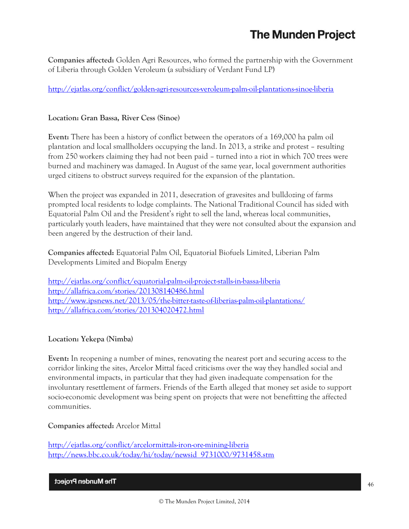**Companies affected:** Golden Agri Resources, who formed the partnership with the Government of Liberia through Golden Veroleum (a subsidiary of Verdant Fund LP)

<http://ejatlas.org/conflict/golden-agri-resources-veroleum-palm-oil-plantations-sinoe-liberia>

#### **Location: Gran Bassa, River Cess (Sinoe)**

**Event:** There has been a history of conflict between the operators of a 169,000 ha palm oil plantation and local smallholders occupying the land. In 2013, a strike and protest – resulting from 250 workers claiming they had not been paid – turned into a riot in which 700 trees were burned and machinery was damaged. In August of the same year, local government authorities urged citizens to obstruct surveys required for the expansion of the plantation.

When the project was expanded in 2011, desecration of gravesites and bulldozing of farms prompted local residents to lodge complaints. The National Traditional Council has sided with Equatorial Palm Oil and the President's right to sell the land, whereas local communities, particularly youth leaders, have maintained that they were not consulted about the expansion and been angered by the destruction of their land.

**Companies affected:** Equatorial Palm Oil, Equatorial Biofuels Limited, Liberian Palm Developments Limited and Biopalm Energy

<http://ejatlas.org/conflict/equatorial-palm-oil-project-stalls-in-bassa-liberia> <http://allafrica.com/stories/201308140486.html> <http://www.ipsnews.net/2013/05/the-bitter-taste-of-liberias-palm-oil-plantations/> <http://allafrica.com/stories/201304020472.html>

## **Location: Yekepa (Nimba)**

**Event:** In reopening a number of mines, renovating the nearest port and securing access to the corridor linking the sites, Arcelor Mittal faced criticisms over the way they handled social and environmental impacts, in particular that they had given inadequate compensation for the involuntary resettlement of farmers. Friends of the Earth alleged that money set aside to support socio-economic development was being spent on projects that were not benefitting the affected communities.

**Companies affected:** Arcelor Mittal

<http://ejatlas.org/conflict/arcelormittals-iron-ore-mining-liberia> [http://news.bbc.co.uk/today/hi/today/newsid\\_9731000/9731458.stm](http://news.bbc.co.uk/today/hi/today/newsid_9731000/9731458.stm)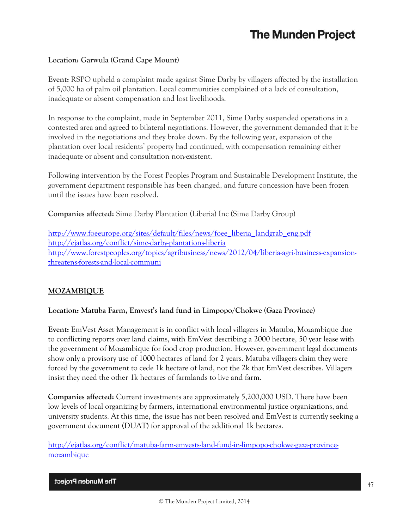## **Location: Garwula (Grand Cape Mount)**

**Event:** RSPO upheld a complaint made against Sime Darby by villagers affected by the installation of 5,000 ha of palm oil plantation. Local communities complained of a lack of consultation, inadequate or absent compensation and lost livelihoods.

In response to the complaint, made in September 2011, Sime Darby suspended operations in a contested area and agreed to bilateral negotiations. However, the government demanded that it be involved in the negotiations and they broke down. By the following year, expansion of the plantation over local residents' property had continued, with compensation remaining either inadequate or absent and consultation non-existent.

Following intervention by the Forest Peoples Program and Sustainable Development Institute, the government department responsible has been changed, and future concession have been frozen until the issues have been resolved.

**Companies affected:** Sime Darby Plantation (Liberia) Inc (Sime Darby Group)

[http://www.foeeurope.org/sites/default/files/news/foee\\_liberia\\_landgrab\\_eng.pdf](http://www.foeeurope.org/sites/default/files/news/foee_liberia_landgrab_eng.pdf) <http://ejatlas.org/conflict/sime-darby-plantations-liberia> [http://www.forestpeoples.org/topics/agribusiness/news/2012/04/liberia-agri-business-expansion](http://www.forestpeoples.org/topics/agribusiness/news/2012/04/liberia-agri-business-expansion-threatens-forests-and-local-communi)[threatens-forests-and-local-communi](http://www.forestpeoples.org/topics/agribusiness/news/2012/04/liberia-agri-business-expansion-threatens-forests-and-local-communi)

## **MOZAMBIQUE**

## **Location: Matuba Farm, Emvest's land fund in Limpopo/Chokwe (Gaza Province)**

**Event:** EmVest Asset Management is in conflict with local villagers in Matuba, Mozambique due to conflicting reports over land claims, with EmVest describing a 2000 hectare, 50 year lease with the government of Mozambique for food crop production. However, government legal documents show only a provisory use of 1000 hectares of land for 2 years. Matuba villagers claim they were forced by the government to cede 1k hectare of land, not the 2k that EmVest describes. Villagers insist they need the other 1k hectares of farmlands to live and farm.

**Companies affected:** Current investments are approximately 5,200,000 USD. There have been low levels of local organizing by farmers, international environmental justice organizations, and university students. At this time, the issue has not been resolved and EmVest is currently seeking a government document (DUAT) for approval of the additional 1k hectares.

[http://ejatlas.org/conflict/matuba-farm-emvests-land-fund-in-limpopo-chokwe-gaza-province](http://ejatlas.org/conflict/matuba-farm-emvests-land-fund-in-limpopo-chokwe-gaza-province-mozambique)[mozambique](http://ejatlas.org/conflict/matuba-farm-emvests-land-fund-in-limpopo-chokwe-gaza-province-mozambique)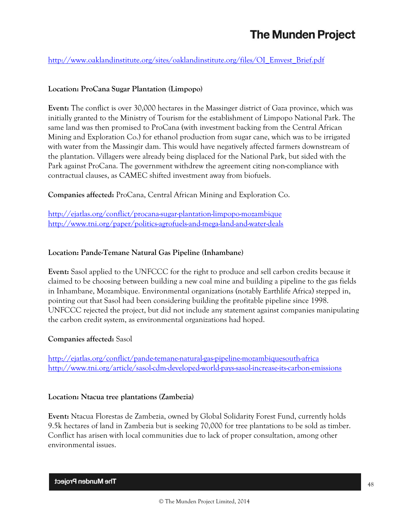[http://www.oaklandinstitute.org/sites/oaklandinstitute.org/files/OI\\_Emvest\\_Brief.pdf](http://www.oaklandinstitute.org/sites/oaklandinstitute.org/files/OI_Emvest_Brief.pdf)

## **Location: ProCana Sugar Plantation (Limpopo)**

**Event:** The conflict is over 30,000 hectares in the Massinger district of Gaza province, which was initially granted to the Ministry of Tourism for the establishment of Limpopo National Park. The same land was then promised to ProCana (with investment backing from the Central African Mining and Exploration Co.) for ethanol production from sugar cane, which was to be irrigated with water from the Massingir dam. This would have negatively affected farmers downstream of the plantation. Villagers were already being displaced for the National Park, but sided with the Park against ProCana. The government withdrew the agreement citing non-compliance with contractual clauses, as CAMEC shifted investment away from biofuels.

**Companies affected:** ProCana, Central African Mining and Exploration Co.

<http://ejatlas.org/conflict/procana-sugar-plantation-limpopo-mozambique> <http://www.tni.org/paper/politics-agrofuels-and-mega-land-and-water-deals>

## **Location: Pande-Temane Natural Gas Pipeline (Inhambane)**

**Event:** Sasol applied to the UNFCCC for the right to produce and sell carbon credits because it claimed to be choosing between building a new coal mine and building a pipeline to the gas fields in Inhambane, Mozambique. Environmental organizations (notably Earthlife Africa) stepped in, pointing out that Sasol had been considering building the profitable pipeline since 1998. UNFCCC rejected the project, but did not include any statement against companies manipulating the carbon credit system, as environmental organizations had hoped.

## **Companies affected:** Sasol

<http://ejatlas.org/conflict/pande-temane-natural-gas-pipeline-mozambiquesouth-africa> <http://www.tni.org/article/sasol-cdm-developed-world-pays-sasol-increase-its-carbon-emissions>

#### **Location: Ntacua tree plantations (Zambezia)**

**Event:** Ntacua Florestas de Zambezia, owned by Global Solidarity Forest Fund, currently holds 9.5k hectares of land in Zambezia but is seeking 70,000 for tree plantations to be sold as timber. Conflict has arisen with local communities due to lack of proper consultation, among other environmental issues.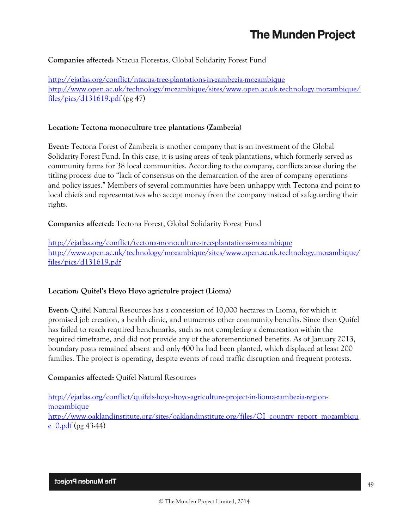## **Companies affected:** Ntacua Florestas, Global Solidarity Forest Fund

<http://ejatlas.org/conflict/ntacua-tree-plantations-in-zambezia-mozambique> [http://www.open.ac.uk/technology/mozambique/sites/www.open.ac.uk.technology.mozambique/](http://www.open.ac.uk/technology/mozambique/sites/www.open.ac.uk.technology.mozambique/files/pics/d131619.pdf) [files/pics/d131619.pdf](http://www.open.ac.uk/technology/mozambique/sites/www.open.ac.uk.technology.mozambique/files/pics/d131619.pdf) (pg 47)

#### **Location: Tectona monoculture tree plantations (Zambezia)**

**Event:** Tectona Forest of Zambezia is another company that is an investment of the Global Solidarity Forest Fund. In this case, it is using areas of teak plantations, which formerly served as community farms for 38 local communities. According to the company, conflicts arose during the titling process due to "lack of consensus on the demarcation of the area of company operations and policy issues." Members of several communities have been unhappy with Tectona and point to local chiefs and representatives who accept money from the company instead of safeguarding their rights.

**Companies affected:** Tectona Forest, Global Solidarity Forest Fund

<http://ejatlas.org/conflict/tectona-monoculture-tree-plantations-mozambique> [http://www.open.ac.uk/technology/mozambique/sites/www.open.ac.uk.technology.mozambique/](http://www.open.ac.uk/technology/mozambique/sites/www.open.ac.uk.technology.mozambique/files/pics/d131619.pdf) [files/pics/d131619.pdf](http://www.open.ac.uk/technology/mozambique/sites/www.open.ac.uk.technology.mozambique/files/pics/d131619.pdf)

## **Location: Quifel's Hoyo Hoyo agrictulre project (Lioma)**

**Event:** Quifel Natural Resources has a concession of 10,000 hectares in Lioma, for which it promised job creation, a health clinic, and numerous other community benefits. Since then Quifel has failed to reach required benchmarks, such as not completing a demarcation within the required timeframe, and did not provide any of the aforementioned benefits. As of January 2013, boundary posts remained absent and only 400 ha had been planted, which displaced at least 200 families. The project is operating, despite events of road traffic disruption and frequent protests.

## **Companies affected:** Quifel Natural Resources

[http://ejatlas.org/conflict/quifels-hoyo-hoyo-agriculture-project-in-lioma-zambezia-region](http://ejatlas.org/conflict/quifels-hoyo-hoyo-agriculture-project-in-lioma-zambezia-region-mozambique)[mozambique](http://ejatlas.org/conflict/quifels-hoyo-hoyo-agriculture-project-in-lioma-zambezia-region-mozambique) [http://www.oaklandinstitute.org/sites/oaklandinstitute.org/files/OI\\_country\\_report\\_mozambiqu](http://www.oaklandinstitute.org/sites/oaklandinstitute.org/files/OI_country_report_mozambique_0.pdf)  $e$  0.pdf (pg 43-44)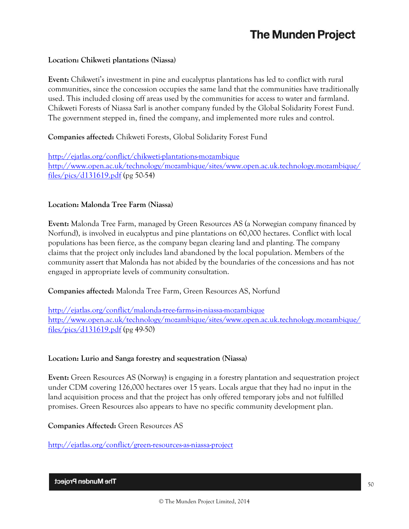### **Location: Chikweti plantations (Niassa)**

**Event:** Chikweti's investment in pine and eucalyptus plantations has led to conflict with rural communities, since the concession occupies the same land that the communities have traditionally used. This included closing off areas used by the communities for access to water and farmland. Chikweti Forests of Niassa Sarl is another company funded by the Global Solidarity Forest Fund. The government stepped in, fined the company, and implemented more rules and control.

## **Companies affected:** Chikweti Forests, Global Solidarity Forest Fund

<http://ejatlas.org/conflict/chikweti-plantations-mozambique> [http://www.open.ac.uk/technology/mozambique/sites/www.open.ac.uk.technology.mozambique/](http://www.open.ac.uk/technology/mozambique/sites/www.open.ac.uk.technology.mozambique/files/pics/d131619.pdf) [files/pics/d131619.pdf](http://www.open.ac.uk/technology/mozambique/sites/www.open.ac.uk.technology.mozambique/files/pics/d131619.pdf) (pg 50-54)

#### **Location: Malonda Tree Farm (Niassa)**

**Event:** Malonda Tree Farm, managed by Green Resources AS (a Norwegian company financed by Norfund), is involved in eucalyptus and pine plantations on 60,000 hectares. Conflict with local populations has been fierce, as the company began clearing land and planting. The company claims that the project only includes land abandoned by the local population. Members of the community assert that Malonda has not abided by the boundaries of the concessions and has not engaged in appropriate levels of community consultation.

## **Companies affected:** Malonda Tree Farm, Green Resources AS, Norfund

<http://ejatlas.org/conflict/malonda-tree-farms-in-niassa-mozambique> [http://www.open.ac.uk/technology/mozambique/sites/www.open.ac.uk.technology.mozambique/](http://www.open.ac.uk/technology/mozambique/sites/www.open.ac.uk.technology.mozambique/files/pics/d131619.pdf) [files/pics/d131619.pdf](http://www.open.ac.uk/technology/mozambique/sites/www.open.ac.uk.technology.mozambique/files/pics/d131619.pdf) (pg 49-50)

#### **Location: Lurio and Sanga forestry and sequestration (Niassa)**

**Event:** Green Resources AS (Norway) is engaging in a forestry plantation and sequestration project under CDM covering 126,000 hectares over 15 years. Locals argue that they had no input in the land acquisition process and that the project has only offered temporary jobs and not fulfilled promises. Green Resources also appears to have no specific community development plan.

**Companies Affected:** Green Resources AS

<http://ejatlas.org/conflict/green-resources-as-niassa-project>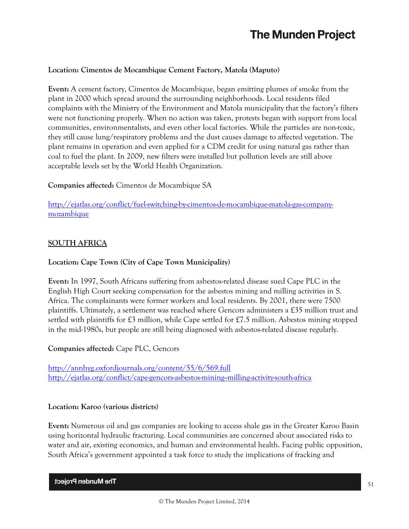## **Location: Cimentos de Mocambique Cement Factory, Matola (Maputo)**

**Event:** A cement factory, Cimentos de Mocambique, began emitting plumes of smoke from the plant in 2000 which spread around the surrounding neighborhoods. Local residents filed complaints with the Ministry of the Environment and Matola municipality that the factory's filters were not functioning properly. When no action was taken, protests began with support from local communities, environmentalists, and even other local factories. While the particles are non-toxic, they still cause lung/respiratory problems and the dust causes damage to affected vegetation. The plant remains in operation and even applied for a CDM credit for using natural gas rather than coal to fuel the plant. In 2009, new filters were installed but pollution levels are still above acceptable levels set by the World Health Organization.

## **Companies affected:** Cimentos de Mocambique SA

[http://ejatlas.org/conflict/fuel-switching-by-cimentos-de-mocambique-matola-gas-company](http://ejatlas.org/conflict/fuel-switching-by-cimentos-de-mocambique-matola-gas-company-mozambique)[mozambique](http://ejatlas.org/conflict/fuel-switching-by-cimentos-de-mocambique-matola-gas-company-mozambique)

## **SOUTH AFRICA**

## **Location: Cape Town (City of Cape Town Municipality)**

**Event:** In 1997, South Africans suffering from asbestos-related disease sued Cape PLC in the English High Court seeking compensation for the asbestos mining and milling activities in S. Africa. The complainants were former workers and local residents. By 2001, there were 7500 plaintiffs. Ultimately, a settlement was reached where Gencors administers a £35 million trust and settled with plaintiffs for  $\mathfrak{L}3$  million, while Cape settled for  $\mathfrak{L}7.5$  million. Asbestos mining stopped in the mid-1980s, but people are still being diagnosed with asbestos-related disease regularly.

## **Companies affected:** Cape PLC, Gencors

<http://annhyg.oxfordjournals.org/content/55/6/569.full> <http://ejatlas.org/conflict/cape-gencors-asbestos-mining--milling-activity-south-africa>

## **Location: Karoo (various districts)**

**Event:** Numerous oil and gas companies are looking to access shale gas in the Greater Karoo Basin using horizontal hydraulic fracturing. Local communities are concerned about associated risks to water and air, existing economics, and human and environmental health. Facing public opposition, South Africa's government appointed a task force to study the implications of fracking and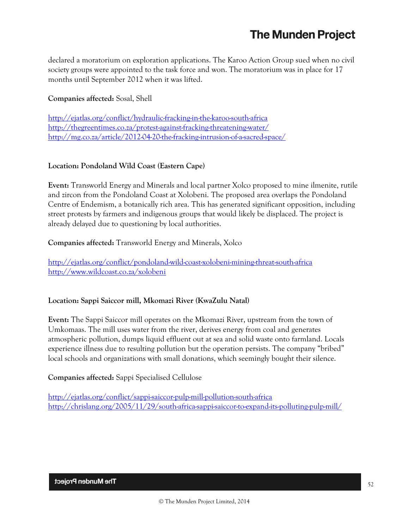declared a moratorium on exploration applications. The Karoo Action Group sued when no civil society groups were appointed to the task force and won. The moratorium was in place for 17 months until September 2012 when it was lifted.

## **Companies affected:** Sosal, Shell

<http://ejatlas.org/conflict/hydraulic-fracking-in-the-karoo-south-africa> <http://thegreentimes.co.za/protest-against-fracking-threatening-water/> <http://mg.co.za/article/2012-04-20-the-fracking-intrusion-of-a-sacred-space/>

## **Location: Pondoland Wild Coast (Eastern Cape)**

**Event:** Transworld Energy and Minerals and local partner Xolco proposed to mine ilmenite, rutile and zircon from the Pondoland Coast at Xolobeni. The proposed area overlaps the Pondoland Centre of Endemism, a botanically rich area. This has generated significant opposition, including street protests by farmers and indigenous groups that would likely be displaced. The project is already delayed due to questioning by local authorities.

**Companies affected:** Transworld Energy and Minerals, Xolco

<http://ejatlas.org/conflict/pondoland-wild-coast-xolobeni-mining-threat-south-africa> <http://www.wildcoast.co.za/xolobeni>

## **Location: Sappi Saiccor mill, Mkomazi River (KwaZulu Natal)**

**Event:** The Sappi Saiccor mill operates on the Mkomazi River, upstream from the town of Umkomaas. The mill uses water from the river, derives energy from coal and generates atmospheric pollution, dumps liquid effluent out at sea and solid waste onto farmland. Locals experience illness due to resulting pollution but the operation persists. The company "bribed" local schools and organizations with small donations, which seemingly bought their silence.

## **Companies affected:** Sappi Specialised Cellulose

<http://ejatlas.org/conflict/sappi-saiccor-pulp-mill-pollution-south-africa> <http://chrislang.org/2005/11/29/south-africa-sappi-saiccor-to-expand-its-polluting-pulp-mill/>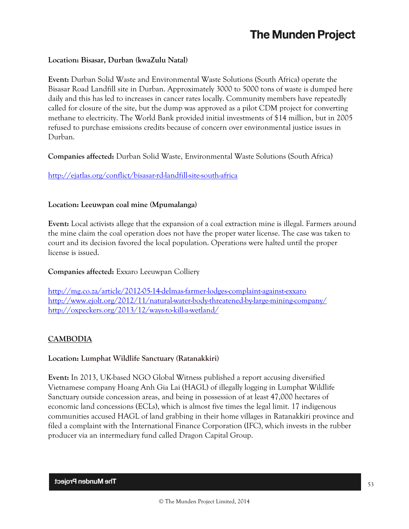### **Location: Bisasar, Durban (kwaZulu Natal)**

**Event:** Durban Solid Waste and Environmental Waste Solutions (South Africa) operate the Bisasar Road Landfill site in Durban. Approximately 3000 to 5000 tons of waste is dumped here daily and this has led to increases in cancer rates locally. Community members have repeatedly called for closure of the site, but the dump was approved as a pilot CDM project for converting methane to electricity. The World Bank provided initial investments of \$14 million, but in 2005 refused to purchase emissions credits because of concern over environmental justice issues in Durban.

**Companies affected:** Durban Solid Waste, Environmental Waste Solutions (South Africa)

<http://ejatlas.org/conflict/bisasar-rd-landfill-site-south-africa>

#### **Location: Leeuwpan coal mine (Mpumalanga)**

**Event:** Local activists allege that the expansion of a coal extraction mine is illegal. Farmers around the mine claim the coal operation does not have the proper water license. The case was taken to court and its decision favored the local population. Operations were halted until the proper license is issued.

**Companies affected:** Exxaro Leeuwpan Colliery

<http://mg.co.za/article/2012-05-14-delmas-farmer-lodges-complaint-against-exxaro> <http://www.ejolt.org/2012/11/natural-water-body-threatened-by-large-mining-company/> <http://oxpeckers.org/2013/12/ways-to-kill-a-wetland/>

## **CAMBODIA**

#### **Location: Lumphat Wildlife Sanctuary (Ratanakkiri)**

**Event:** In 2013, UK-based NGO Global Witness published a report accusing diversified Vietnamese company Hoang Anh Gia Lai (HAGL) of illegally logging in Lumphat Wildlife Sanctuary outside concession areas, and being in possession of at least 47,000 hectares of economic land concessions (ECLs), which is almost five times the legal limit. 17 indigenous communities accused HAGL of land grabbing in their home villages in Ratanakkiri province and filed a complaint with the International Finance Corporation (IFC), which invests in the rubber producer via an intermediary fund called Dragon Capital Group.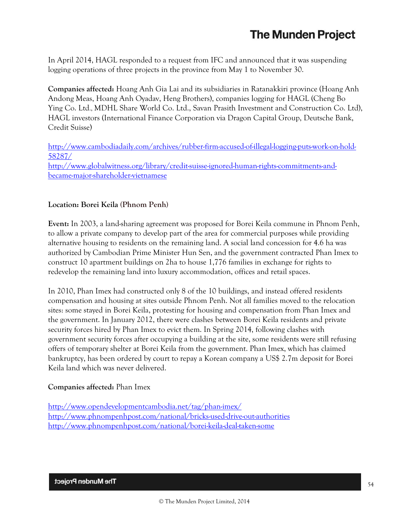In April 2014, HAGL responded to a request from IFC and announced that it was suspending logging operations of three projects in the province from May 1 to November 30.

**Companies affected:** Hoang Anh Gia Lai and its subsidiaries in Ratanakkiri province (Hoang Anh Andong Meas, Hoang Anh Oyadav, Heng Brothers), companies logging for HAGL (Cheng Bo Ying Co. Ltd., MDHL Share World Co. Ltd., Savan Prasith Investment and Construction Co. Ltd), HAGL investors (International Finance Corporation via Dragon Capital Group, Deutsche Bank, Credit Suisse)

[http://www.cambodiadaily.com/archives/rubber-firm-accused-of-illegal-logging-puts-work-on-hold-](http://www.cambodiadaily.com/archives/rubber-firm-accused-of-illegal-logging-puts-work-on-hold-58287/)[58287/](http://www.cambodiadaily.com/archives/rubber-firm-accused-of-illegal-logging-puts-work-on-hold-58287/) [http://www.globalwitness.org/library/credit-suisse-ignored-human-rights-commitments-and](http://www.globalwitness.org/library/credit-suisse-ignored-human-rights-commitments-and-became-major-shareholder-vietnamese)[became-major-shareholder-vietnamese](http://www.globalwitness.org/library/credit-suisse-ignored-human-rights-commitments-and-became-major-shareholder-vietnamese)

## **Location: Borei Keila (Phnom Penh)**

**Event:** In 2003, a land-sharing agreement was proposed for Borei Keila commune in Phnom Penh, to allow a private company to develop part of the area for commercial purposes while providing alternative housing to residents on the remaining land. A social land concession for 4.6 ha was authorized by Cambodian Prime Minister Hun Sen, and the government contracted Phan Imex to construct 10 apartment buildings on 2ha to house 1,776 families in exchange for rights to redevelop the remaining land into luxury accommodation, offices and retail spaces.

In 2010, Phan Imex had constructed only 8 of the 10 buildings, and instead offered residents compensation and housing at sites outside Phnom Penh. Not all families moved to the relocation sites: some stayed in Borei Keila, protesting for housing and compensation from Phan Imex and the government. In January 2012, there were clashes between Borei Keila residents and private security forces hired by Phan Imex to evict them. In Spring 2014, following clashes with government security forces after occupying a building at the site, some residents were still refusing offers of temporary shelter at Borei Keila from the government. Phan Imex, which has claimed bankruptcy, has been ordered by court to repay a Korean company a US\$ 2.7m deposit for Borei Keila land which was never delivered.

## **Companies affected:** Phan Imex

<http://www.opendevelopmentcambodia.net/tag/phan-imex/> <http://www.phnompenhpost.com/national/bricks-used-drive-out-authorities> <http://www.phnompenhpost.com/national/borei-keila-deal-taken-some>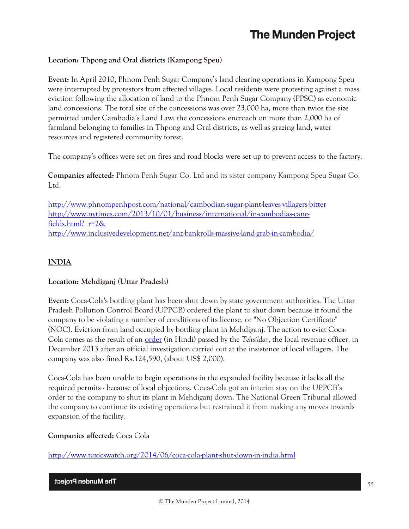## **Location: Thpong and Oral districts (Kampong Speu)**

**Event:** In April 2010, Phnom Penh Sugar Company's land clearing operations in Kampong Speu were interrupted by protestors from affected villages. Local residents were protesting against a mass eviction following the allocation of land to the Phnom Penh Sugar Company (PPSC) as economic land concessions. The total size of the concessions was over 23,000 ha, more than twice the size permitted under Cambodia's Land Law; the concessions encroach on more than 2,000 ha of farmland belonging to families in Thpong and Oral districts, as well as grazing land, water resources and registered community forest.

The company's offices were set on fires and road blocks were set up to prevent access to the factory.

**Companies affected:** Phnom Penh Sugar Co. Ltd and its sister company Kampong Speu Sugar Co. Ltd.

<http://www.phnompenhpost.com/national/cambodian-sugar-plant-leaves-villagers-bitter> [http://www.nytimes.com/2013/10/01/business/international/in-cambodias-cane](http://www.nytimes.com/2013/10/01/business/international/in-cambodias-cane-fields.html?_r=2&)[fields.html?\\_r=2&](http://www.nytimes.com/2013/10/01/business/international/in-cambodias-cane-fields.html?_r=2&) <http://www.inclusivedevelopment.net/anz-bankrolls-massive-land-grab-in-cambodia/>

## **INDIA**

## **Location: Mehdiganj (Uttar Pradesh)**

**Event:** Coca-Cola's bottling plant has been shut down by state government authorities. The Uttar Pradesh Pollution Control Board (UPPCB) ordered the plant to shut down because it found the company to be violating a number of conditions of its license, or "No Objection Certificate" (NOC). Eviction from land occupied by bottling plant in Mehdiganj. The action to evict Coca-Cola comes as the result of an [order](http://www.indiaresource.org/campaigns/coke/2014/TehsildarDec162013Mehdiganj.pdf) (in Hindi) passed by the *Tehsildar*, the local revenue officer, in December 2013 after an official investigation carried out at the insistence of local villagers. The company was also fined Rs.124,590, (about US\$ 2,000).

Coca-Cola has been unable to begin operations in the expanded facility because it lacks all the required permits - because of local objections. Coca-Cola got an interim stay on the UPPCB's order to the company to shut its plant in Mehdiganj down. The National Green Tribunal allowed the company to continue its existing operations but restrained it from making any moves towards expansion of the facility.

## **Companies affected:** Coca Cola

<http://www.toxicswatch.org/2014/06/coca-cola-plant-shut-down-in-india.html>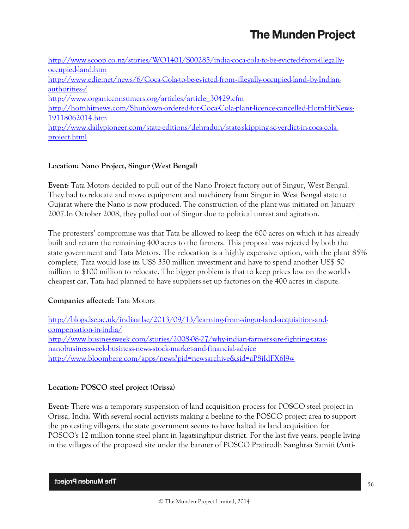| http://www.scoop.co.nz/stories/WO1401/S00285/india-coca-cola-to-be-evicted-from-illegally-  |
|---------------------------------------------------------------------------------------------|
| occupied-land.htm                                                                           |
| http://www.edie.net/news/6/Coca-Cola-to-be-evicted-from-illegally-occupied-land-by-Indian-  |
| authorities-/                                                                               |
| http://www.organicconsumers.org/articles/article 30429.cfm                                  |
| http://hotnhitnews.com/Shutdown-ordered-for-Coca-Cola-plant-licence-cancelled-HotnHitNews-  |
| 19118062014.htm                                                                             |
| http://www.dailypioneer.com/state-editions/dehradun/state-skipping-sc-verdict-in-coca-cola- |
| project.html                                                                                |

## **Location: Nano Project, Singur (West Bengal)**

**Event:** Tata Motors decided to pull out of the Nano Project factory out of Singur, West Bengal. They had to relocate and move equipment and machinery from Singur in West Bengal state to Gujarat where the Nano is now produced. The construction of the plant was initiated on January 2007.In October 2008, they pulled out of Singur due to political unrest and agitation.

The protesters' compromise was that Tata be allowed to keep the 600 acres on which it has already built and return the remaining 400 acres to the farmers. This proposal was rejected by both the state government and Tata Motors. The relocation is a highly expensive option, with the plant 85% complete, Tata would lose its US\$ 350 million investment and have to spend another US\$ 50 million to \$100 million to relocate. The bigger problem is that to keep prices low on the world's cheapest car, Tata had planned to have suppliers set up factories on the 400 acres in dispute.

## **Companies affected:** Tata Motors

[http://blogs.lse.ac.uk/indiaatlse/2013/09/13/learning-from-singur-land-acquisition-and](http://blogs.lse.ac.uk/indiaatlse/2013/09/13/learning-from-singur-land-acquisition-and-compensation-in-india/)[compensation-in-india/](http://blogs.lse.ac.uk/indiaatlse/2013/09/13/learning-from-singur-land-acquisition-and-compensation-in-india/) [http://www.businessweek.com/stories/2008-08-27/why-indian-farmers-are-fighting-tatas](http://www.businessweek.com/stories/2008-08-27/why-indian-farmers-are-fighting-tatas-nanobusinessweek-business-news-stock-market-and-financial-advice)[nanobusinessweek-business-news-stock-market-and-financial-advice](http://www.businessweek.com/stories/2008-08-27/why-indian-farmers-are-fighting-tatas-nanobusinessweek-business-news-stock-market-and-financial-advice) <http://www.bloomberg.com/apps/news?pid=newsarchive&sid=aP8iIdFX6l9w>

## **Location: POSCO steel project (Orissa)**

**Event:** There was a temporary suspension of land acquisition process for POSCO steel project in Orissa, India. With several social activists making a beeline to the POSCO project area to support the protesting villagers, the state government seems to have halted its land acquisition for POSCO's 12 million tonne steel plant in Jagatsinghpur district. For the last five years, people living in the villages of the proposed site under the banner of POSCO Pratirodh Sanghrsa Samiti (Anti-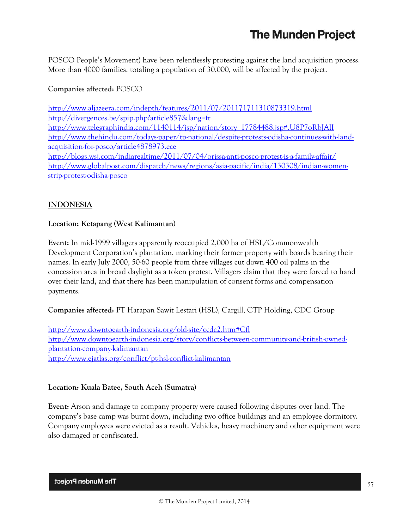POSCO People's Movement) have been relentlessly protesting against the land acquisition process. More than 4000 families, totaling a population of 30,000, will be affected by the project.

## **Companies affected:** POSCO

<http://www.aljazeera.com/indepth/features/2011/07/201171711310873319.html> <http://divergences.be/spip.php?article857&lang=fr> [http://www.telegraphindia.com/1140114/jsp/nation/story\\_17784488.jsp#.U8P7oRbJAlI](http://www.telegraphindia.com/1140114/jsp/nation/story_17784488.jsp#.U8P7oRbJAlI) [http://www.thehindu.com/todays-paper/tp-national/despite-protests-odisha-continues-with-land](http://www.thehindu.com/todays-paper/tp-national/despite-protests-odisha-continues-with-land-acquisition-for-posco/article4878973.ece)[acquisition-for-posco/article4878973.ece](http://www.thehindu.com/todays-paper/tp-national/despite-protests-odisha-continues-with-land-acquisition-for-posco/article4878973.ece) <http://blogs.wsj.com/indiarealtime/2011/07/04/orissa-anti-posco-protest-is-a-family-affair/> [http://www.globalpost.com/dispatch/news/regions/asia-pacific/india/130308/indian-women](http://www.globalpost.com/dispatch/news/regions/asia-pacific/india/130308/indian-women-strip-protest-odisha-posco)[strip-protest-odisha-posco](http://www.globalpost.com/dispatch/news/regions/asia-pacific/india/130308/indian-women-strip-protest-odisha-posco)

## **INDONESIA**

## **Location: Ketapang (West Kalimantan)**

**Event:** In mid-1999 villagers apparently reoccupied 2,000 ha of HSL/Commonwealth Development Corporation's plantation, marking their former property with boards bearing their names. In early July 2000, 50-60 people from three villages cut down 400 oil palms in the concession area in broad daylight as a token protest. Villagers claim that they were forced to hand over their land, and that there has been manipulation of consent forms and compensation payments.

**Companies affected:** PT Harapan Sawit Lestari (HSL), Cargill, CTP Holding, CDC Group

<http://www.downtoearth-indonesia.org/old-site/ccdc2.htm#Cfl> [http://www.downtoearth-indonesia.org/story/conflicts-between-community-and-british-owned](http://www.downtoearth-indonesia.org/story/conflicts-between-community-and-british-owned-plantation-company-kalimantan)[plantation-company-kalimantan](http://www.downtoearth-indonesia.org/story/conflicts-between-community-and-british-owned-plantation-company-kalimantan) <http://www.ejatlas.org/conflict/pt-hsl-conflict-kalimantan>

## **Location: Kuala Batee, South Aceh (Sumatra)**

**Event:** Arson and damage to company property were caused following disputes over land. The company's base camp was burnt down, including two office buildings and an employee dormitory. Company employees were evicted as a result. Vehicles, heavy machinery and other equipment were also damaged or confiscated.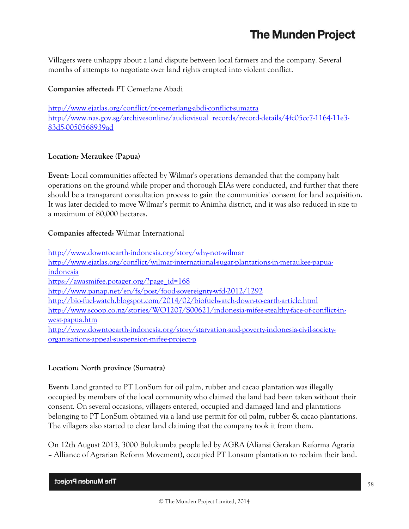Villagers were unhappy about a land dispute between local farmers and the company. Several months of attempts to negotiate over land rights erupted into violent conflict.

## **Companies affected:** PT Cemerlane Abadi

<http://www.ejatlas.org/conflict/pt-cemerlang-abdi-conflict-sumatra> [http://www.nas.gov.sg/archivesonline/audiovisual\\_records/record-details/4fc05cc7-1164-11e3-](http://www.nas.gov.sg/archivesonline/audiovisual_records/record-details/4fc05cc7-1164-11e3-83d5-0050568939ad) [83d5-0050568939ad](http://www.nas.gov.sg/archivesonline/audiovisual_records/record-details/4fc05cc7-1164-11e3-83d5-0050568939ad)

## **Location: Meraukee (Papua)**

**Event:** Local communities affected by Wilmar's operations demanded that the company halt operations on the ground while proper and thorough EIAs were conducted, and further that there should be a transparent consultation process to gain the communities' consent for land acquisition. It was later decided to move Wilmar's permit to Animha district, and it was also reduced in size to a maximum of 80,000 hectares.

## **Companies affected:** Wilmar International

<http://www.downtoearth-indonesia.org/story/why-not-wilmar> [http://www.ejatlas.org/conflict/wilmar-international-sugar-plantations-in-meraukee-papua](http://www.ejatlas.org/conflict/wilmar-international-sugar-plantations-in-meraukee-papua-indonesia)[indonesia](http://www.ejatlas.org/conflict/wilmar-international-sugar-plantations-in-meraukee-papua-indonesia) [https://awasmifee.potager.org/?page\\_id=168](https://awasmifee.potager.org/?page_id=168) <http://www.panap.net/en/fs/post/food-sovereignty-wfd-2012/1292> <http://bio-fuel-watch.blogspot.com/2014/02/biofuelwatch-down-to-earth-article.html> [http://www.scoop.co.nz/stories/WO1207/S00621/indonesia-mifee-stealthy-face-of-conflict-in](http://www.scoop.co.nz/stories/WO1207/S00621/indonesia-mifee-stealthy-face-of-conflict-in-west-papua.htm)[west-papua.htm](http://www.scoop.co.nz/stories/WO1207/S00621/indonesia-mifee-stealthy-face-of-conflict-in-west-papua.htm) [http://www.downtoearth-indonesia.org/story/starvation-and-poverty-indonesia-civil-society](http://www.downtoearth-indonesia.org/story/starvation-and-poverty-indonesia-civil-society-organisations-appeal-suspension-mifee-project-p)[organisations-appeal-suspension-mifee-project-p](http://www.downtoearth-indonesia.org/story/starvation-and-poverty-indonesia-civil-society-organisations-appeal-suspension-mifee-project-p)

## **Location: North province (Sumatra)**

**Event:** Land granted to PT LonSum for oil palm, rubber and cacao plantation was illegally occupied by members of the local community who claimed the land had been taken without their consent. On several occasions, villagers entered, occupied and damaged land and plantations belonging to PT LonSum obtained via a land use permit for oil palm, rubber & cacao plantations. The villagers also started to clear land claiming that the company took it from them.

On 12th August 2013, 3000 Bulukumba people led by AGRA (Aliansi Gerakan Reforma Agraria – Alliance of Agrarian Reform Movement), occupied PT Lonsum plantation to reclaim their land.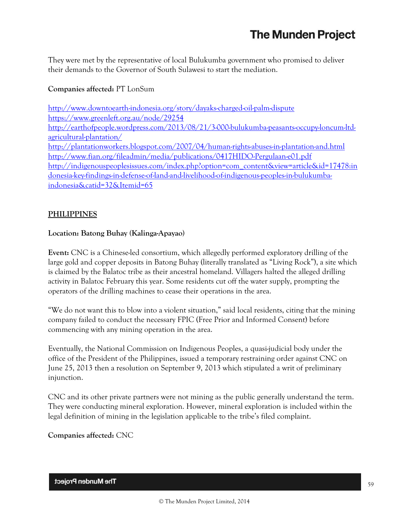They were met by the representative of local Bulukumba government who promised to deliver their demands to the Governor of South Sulawesi to start the mediation.

## **Companies affected:** PT LonSum

<http://www.downtoearth-indonesia.org/story/dayaks-charged-oil-palm-dispute> <https://www.greenleft.org.au/node/29254> [http://earthofpeople.wordpress.com/2013/08/21/3-000-bulukumba-peasants-occupy-loncum-ltd](http://earthofpeople.wordpress.com/2013/08/21/3-000-bulukumba-peasants-occupy-loncum-ltd-agricultural-plantation/)[agricultural-plantation/](http://earthofpeople.wordpress.com/2013/08/21/3-000-bulukumba-peasants-occupy-loncum-ltd-agricultural-plantation/) <http://plantationworkers.blogspot.com/2007/04/human-rights-abuses-in-plantation-and.html> <http://www.fian.org/fileadmin/media/publications/0417HIDO-Pergulaan-e01.pdf> [http://indigenouspeoplesissues.com/index.php?option=com\\_content&view=article&id=17478:in](http://indigenouspeoplesissues.com/index.php?option=com_content&view=article&id=17478:indonesia-key-findings-in-defense-of-land-and-livelihood-of-indigenous-peoples-in-bulukumba-indonesia&catid=32&Itemid=65) [donesia-key-findings-in-defense-of-land-and-livelihood-of-indigenous-peoples-in-bulukumba](http://indigenouspeoplesissues.com/index.php?option=com_content&view=article&id=17478:indonesia-key-findings-in-defense-of-land-and-livelihood-of-indigenous-peoples-in-bulukumba-indonesia&catid=32&Itemid=65)[indonesia&catid=32&Itemid=65](http://indigenouspeoplesissues.com/index.php?option=com_content&view=article&id=17478:indonesia-key-findings-in-defense-of-land-and-livelihood-of-indigenous-peoples-in-bulukumba-indonesia&catid=32&Itemid=65)

## **PHILIPPINES**

## **Location: Batong Buhay (Kalinga-Apayao)**

**Event:** CNC is a Chinese-led consortium, which allegedly performed exploratory drilling of the large gold and copper deposits in Batong Buhay (literally translated as "Living Rock"), a site which is claimed by the Balatoc tribe as their ancestral homeland. Villagers halted the alleged drilling activity in Balatoc February this year. Some residents cut off the water supply, prompting the operators of the drilling machines to cease their operations in the area.

"We do not want this to blow into a violent situation," said local residents, citing that the mining company failed to conduct the necessary FPIC (Free Prior and Informed Consent) before commencing with any mining operation in the area.

Eventually, the National Commission on Indigenous Peoples, a quasi-judicial body under the office of the President of the Philippines, issued a temporary restraining order against CNC on June 25, 2013 then a resolution on September 9, 2013 which stipulated a writ of preliminary injunction.

CNC and its other private partners were not mining as the public generally understand the term. They were conducting mineral exploration. However, mineral exploration is included within the legal definition of mining in the legislation applicable to the tribe's filed complaint.

**Companies affected:** CNC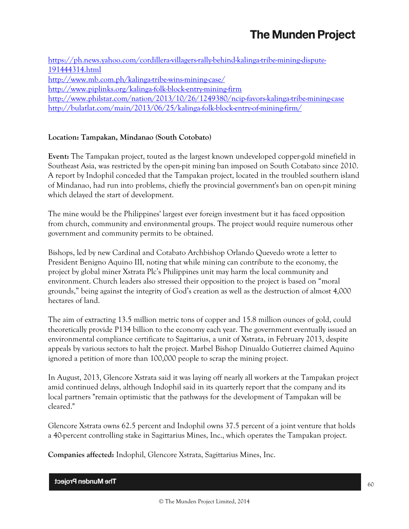[https://ph.news.yahoo.com/cordillera-villagers-rally-behind-kalinga-tribe-mining-dispute-](https://ph.news.yahoo.com/cordillera-villagers-rally-behind-kalinga-tribe-mining-dispute-191444314.html)[191444314.html](https://ph.news.yahoo.com/cordillera-villagers-rally-behind-kalinga-tribe-mining-dispute-191444314.html) <http://www.mb.com.ph/kalinga-tribe-wins-mining-case/> <http://www.piplinks.org/kalinga-folk-block-entry-mining-firm> <http://www.philstar.com/nation/2013/10/26/1249380/ncip-favors-kalinga-tribe-mining-case> <http://bulatlat.com/main/2013/06/25/kalinga-folk-block-entry-of-mining-firm/>

## **Location: Tampakan, Mindanao (South Cotobato)**

**Event:** The Tampakan project, touted as the largest known undeveloped copper-gold minefield in Southeast Asia, was restricted by the open-pit mining ban imposed on South Cotabato since 2010. A report by Indophil conceded that the Tampakan project, located in the troubled southern island of Mindanao, had run into problems, chiefly the provincial government's ban on open-pit mining which delayed the start of development.

The mine would be the Philippines' largest ever foreign investment but it has faced opposition from church, community and environmental groups. The project would require numerous other government and community permits to be obtained.

Bishops, led by new Cardinal and Cotabato Archbishop Orlando Quevedo wrote a letter to President Benigno Aquino III, noting that while mining can contribute to the economy, the project by global miner Xstrata Plc's Philippines unit may harm the local community and environment. Church leaders also stressed their opposition to the project is based on "moral grounds," being against the integrity of God's creation as well as the destruction of almost 4,000 hectares of land.

The aim of extracting 13.5 million metric tons of copper and 15.8 million ounces of gold, could theoretically provide P134 billion to the economy each year. The government eventually issued an environmental compliance certificate to Sagittarius, a unit of Xstrata, in February 2013, despite appeals by various sectors to halt the project. Marbel Bishop Dinualdo Gutierrez claimed Aquino ignored a petition of more than 100,000 people to scrap the mining project.

In August, 2013, Glencore Xstrata said it was laying off nearly all workers at the Tampakan project amid continued delays, although Indophil said in its quarterly report that the company and its local partners "remain optimistic that the pathways for the development of Tampakan will be cleared."

Glencore Xstrata owns 62.5 percent and Indophil owns 37.5 percent of a joint venture that holds a 40-percent controlling stake in Sagittarius Mines, Inc., which operates the Tampakan project.

**Companies affected:** Indophil, Glencore Xstrata, Sagittarius Mines, Inc.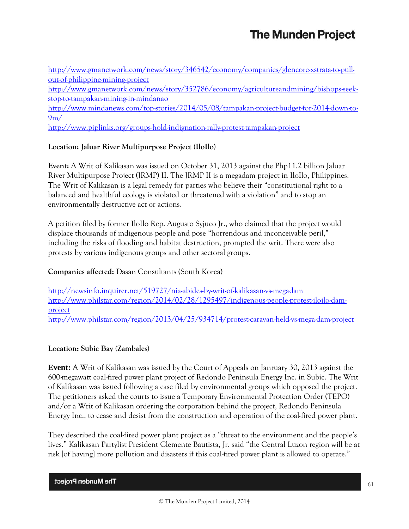[http://www.gmanetwork.com/news/story/346542/economy/companies/glencore-xstrata-to-pull](http://www.gmanetwork.com/news/story/346542/economy/companies/glencore-xstrata-to-pull-out-of-philippine-mining-project)[out-of-philippine-mining-project](http://www.gmanetwork.com/news/story/346542/economy/companies/glencore-xstrata-to-pull-out-of-philippine-mining-project)

[http://www.gmanetwork.com/news/story/352786/economy/agricultureandmining/bishops-seek](http://www.gmanetwork.com/news/story/352786/economy/agricultureandmining/bishops-seek-stop-to-tampakan-mining-in-mindanao)[stop-to-tampakan-mining-in-mindanao](http://www.gmanetwork.com/news/story/352786/economy/agricultureandmining/bishops-seek-stop-to-tampakan-mining-in-mindanao)

[http://www.mindanews.com/top-stories/2014/05/08/tampakan-project-budget-for-2014-down-to-](http://www.mindanews.com/top-stories/2014/05/08/tampakan-project-budget-for-2014-down-to-9m/)[9m/](http://www.mindanews.com/top-stories/2014/05/08/tampakan-project-budget-for-2014-down-to-9m/)

<http://www.piplinks.org/groups-hold-indignation-rally-protest-tampakan-project>

## **Location: Jaluar River Multipurpose Project (IloIlo)**

**Event:** A Writ of Kalikasan was issued on October 31, 2013 against the Php11.2 billion Jaluar River Multipurpose Project (JRMP) II. The JRMP II is a megadam project in IloIlo, Philippines. The Writ of Kalikasan is a legal remedy for parties who believe their "constitutional right to a balanced and healthful ecology is violated or threatened with a violation" and to stop an environmentally destructive act or actions.

A petition filed by former IloIlo Rep. Augusto Syjuco Jr., who claimed that the project would displace thousands of indigenous people and pose "horrendous and inconceivable peril," including the risks of flooding and habitat destruction, prompted the writ. There were also protests by various indigenous groups and other sectoral groups.

## **Companies affected:** Dasan Consultants (South Korea)

<http://newsinfo.inquirer.net/519727/nia-abides-by-writ-of-kalikasan-vs-megadam> [http://www.philstar.com/region/2014/02/28/1295497/indigenous-people-protest-iloilo-dam](http://www.philstar.com/region/2014/02/28/1295497/indigenous-people-protest-iloilo-dam-project)[project](http://www.philstar.com/region/2014/02/28/1295497/indigenous-people-protest-iloilo-dam-project) <http://www.philstar.com/region/2013/04/25/934714/protest-caravan-held-vs-mega-dam-project>

## **Location: Subic Bay (Zambales)**

**Event:** A Writ of Kalikasan was issued by the Court of Appeals on Janruary 30, 2013 against the 600-megawatt coal-fired power plant project of Redondo Peninsula Energy Inc. in Subic. The Writ of Kalikasan was issued following a case filed by environmental groups which opposed the project. The petitioners asked the courts to issue a Temporary Environmental Protection Order (TEPO) and/or a Writ of Kalikasan ordering the corporation behind the project, Redondo Peninsula Energy Inc., to cease and desist from the construction and operation of the coal-fired power plant.

They described the coal-fired power plant project as a "threat to the environment and the people's lives." Kalikasan Partylist President Clemente Bautista, Jr. said "the Central Luzon region will be at risk [of having] more pollution and disasters if this coal-fired power plant is allowed to operate."